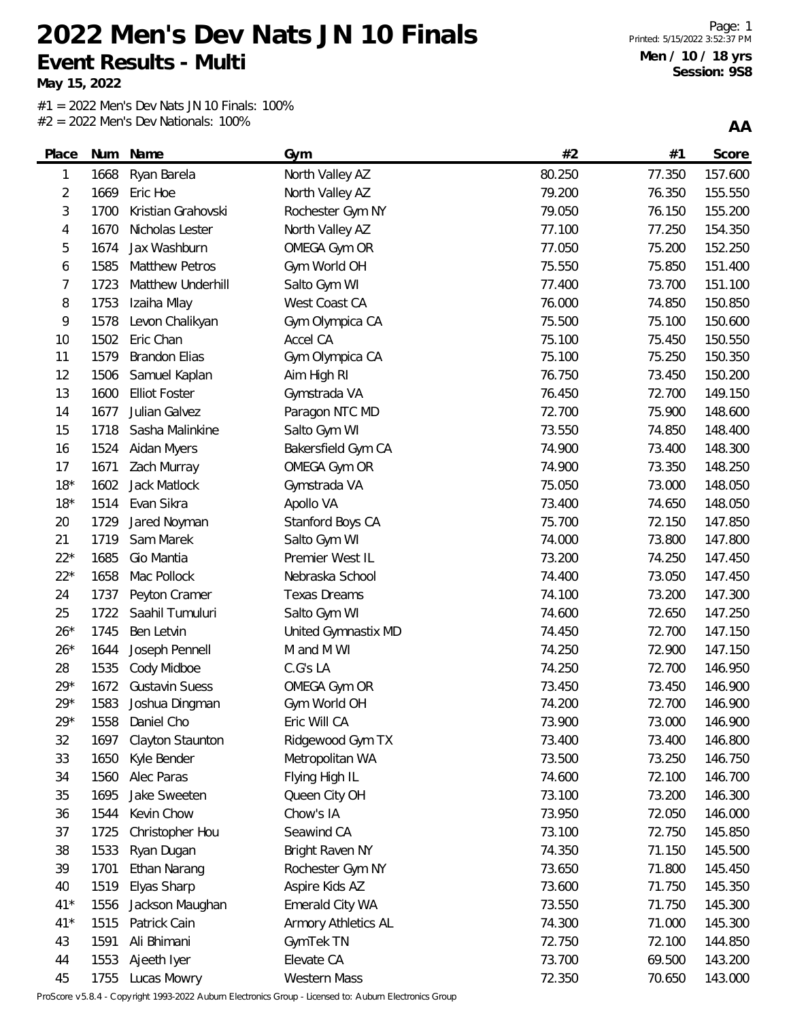**May 15, 2022**

L.

 $#1 = 2022$  Men's Dev Nats JN 10 Finals: 100% #2 = 2022 Men's Dev Nationals: 100%

**AA**

| Place | Num  | Name                  | Gym                 | #2     | #1     | Score   |
|-------|------|-----------------------|---------------------|--------|--------|---------|
| 1     | 1668 | Ryan Barela           | North Valley AZ     | 80.250 | 77.350 | 157.600 |
| 2     | 1669 | Eric Hoe              | North Valley AZ     | 79.200 | 76.350 | 155.550 |
| 3     | 1700 | Kristian Grahovski    | Rochester Gym NY    | 79.050 | 76.150 | 155.200 |
| 4     | 1670 | Nicholas Lester       | North Valley AZ     | 77.100 | 77.250 | 154.350 |
| 5     | 1674 | Jax Washburn          | OMEGA Gym OR        | 77.050 | 75.200 | 152.250 |
| 6     | 1585 | <b>Matthew Petros</b> | Gym World OH        | 75.550 | 75.850 | 151.400 |
| 7     | 1723 | Matthew Underhill     | Salto Gym WI        | 77.400 | 73.700 | 151.100 |
| 8     | 1753 | Izaiha Mlay           | West Coast CA       | 76.000 | 74.850 | 150.850 |
| 9     | 1578 | Levon Chalikyan       | Gym Olympica CA     | 75.500 | 75.100 | 150.600 |
| 10    | 1502 | Eric Chan             | Accel CA            | 75.100 | 75.450 | 150.550 |
| 11    | 1579 | <b>Brandon Elias</b>  | Gym Olympica CA     | 75.100 | 75.250 | 150.350 |
| 12    | 1506 | Samuel Kaplan         | Aim High RI         | 76.750 | 73.450 | 150.200 |
| 13    | 1600 | <b>Elliot Foster</b>  | Gymstrada VA        | 76.450 | 72.700 | 149.150 |
| 14    | 1677 | Julian Galvez         | Paragon NTC MD      | 72.700 | 75.900 | 148.600 |
| 15    | 1718 | Sasha Malinkine       | Salto Gym WI        | 73.550 | 74.850 | 148.400 |
| 16    | 1524 | Aidan Myers           | Bakersfield Gym CA  | 74.900 | 73.400 | 148.300 |
| 17    | 1671 | Zach Murray           | OMEGA Gym OR        | 74.900 | 73.350 | 148.250 |
| $18*$ | 1602 | Jack Matlock          | Gymstrada VA        | 75.050 | 73.000 | 148.050 |
| $18*$ | 1514 | Evan Sikra            | Apollo VA           | 73.400 | 74.650 | 148.050 |
| 20    | 1729 | Jared Noyman          | Stanford Boys CA    | 75.700 | 72.150 | 147.850 |
| 21    | 1719 | Sam Marek             | Salto Gym WI        | 74.000 | 73.800 | 147.800 |
| $22*$ | 1685 | Gio Mantia            | Premier West IL     | 73.200 | 74.250 | 147.450 |
| $22*$ | 1658 | Mac Pollock           | Nebraska School     | 74.400 | 73.050 | 147.450 |
| 24    | 1737 | Peyton Cramer         | <b>Texas Dreams</b> | 74.100 | 73.200 | 147.300 |
| 25    | 1722 | Saahil Tumuluri       | Salto Gym WI        | 74.600 | 72.650 | 147.250 |
| $26*$ | 1745 | Ben Letvin            | United Gymnastix MD | 74.450 | 72.700 | 147.150 |
| $26*$ | 1644 | Joseph Pennell        | M and M WI          | 74.250 | 72.900 | 147.150 |
| 28    | 1535 | Cody Midboe           | C.G's LA            | 74.250 | 72.700 | 146.950 |
| $29*$ | 1672 | <b>Gustavin Suess</b> | OMEGA Gym OR        | 73.450 | 73.450 | 146.900 |
| $29*$ | 1583 | Joshua Dingman        | Gym World OH        | 74.200 | 72.700 | 146.900 |
| $29*$ | 1558 | Daniel Cho            | Eric Will CA        | 73.900 | 73.000 | 146.900 |
| 32    | 1697 | Clayton Staunton      | Ridgewood Gym TX    | 73.400 | 73.400 | 146.800 |
| 33    | 1650 | Kyle Bender           | Metropolitan WA     | 73.500 | 73.250 | 146.750 |
| 34    | 1560 | Alec Paras            | Flying High IL      | 74.600 | 72.100 | 146.700 |
| 35    | 1695 | Jake Sweeten          | Queen City OH       | 73.100 | 73.200 | 146.300 |
| 36    | 1544 | Kevin Chow            | Chow's IA           | 73.950 | 72.050 | 146.000 |
| 37    | 1725 | Christopher Hou       | Seawind CA          | 73.100 | 72.750 | 145.850 |
| 38    | 1533 | Ryan Dugan            | Bright Raven NY     | 74.350 | 71.150 | 145.500 |
| 39    | 1701 | Ethan Narang          | Rochester Gym NY    | 73.650 | 71.800 | 145.450 |
| 40    | 1519 | Elyas Sharp           | Aspire Kids AZ      | 73.600 | 71.750 | 145.350 |
| $41*$ | 1556 | Jackson Maughan       | Emerald City WA     | 73.550 | 71.750 | 145.300 |
| $41*$ | 1515 | Patrick Cain          | Armory Athletics AL | 74.300 | 71.000 | 145.300 |
| 43    | 1591 | Ali Bhimani           | GymTek TN           | 72.750 | 72.100 | 144.850 |
| 44    | 1553 | Ajeeth Iyer           | Elevate CA          | 73.700 | 69.500 | 143.200 |
| 45    | 1755 | Lucas Mowry           | <b>Western Mass</b> | 72.350 | 70.650 | 143.000 |

ProScore v5.8.4 - Copyright 1993-2022 Auburn Electronics Group - Licensed to: Auburn Electronics Group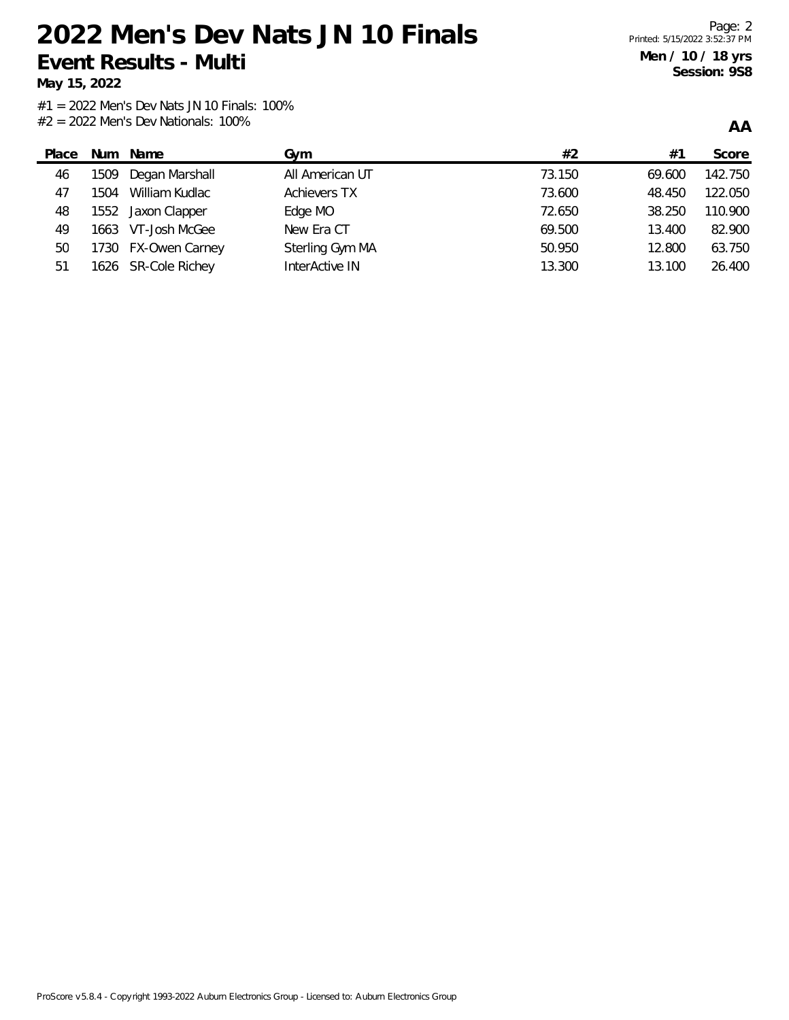**May 15, 2022**

**AA**

| Place | Num  | Name                | Gvm                 | #2     | #1     | Score   |
|-------|------|---------------------|---------------------|--------|--------|---------|
| 46    | 1509 | Degan Marshall      | All American UT     | 73.150 | 69.600 | 142.750 |
| 47    | 1504 | William Kudlac      | <b>Achievers TX</b> | 73.600 | 48.450 | 122.050 |
| 48    |      | 1552 Jaxon Clapper  | Edge MO             | 72.650 | 38.250 | 110.900 |
| 49    |      | 1663 VT-Josh McGee  | New Era CT          | 69.500 | 13.400 | 82.900  |
| 50    |      | 1730 FX-Owen Carney | Sterling Gym MA     | 50.950 | 12.800 | 63.750  |
| 51    |      | 1626 SR-Cole Richey | InterActive IN      | 13.300 | 13.100 | 26.400  |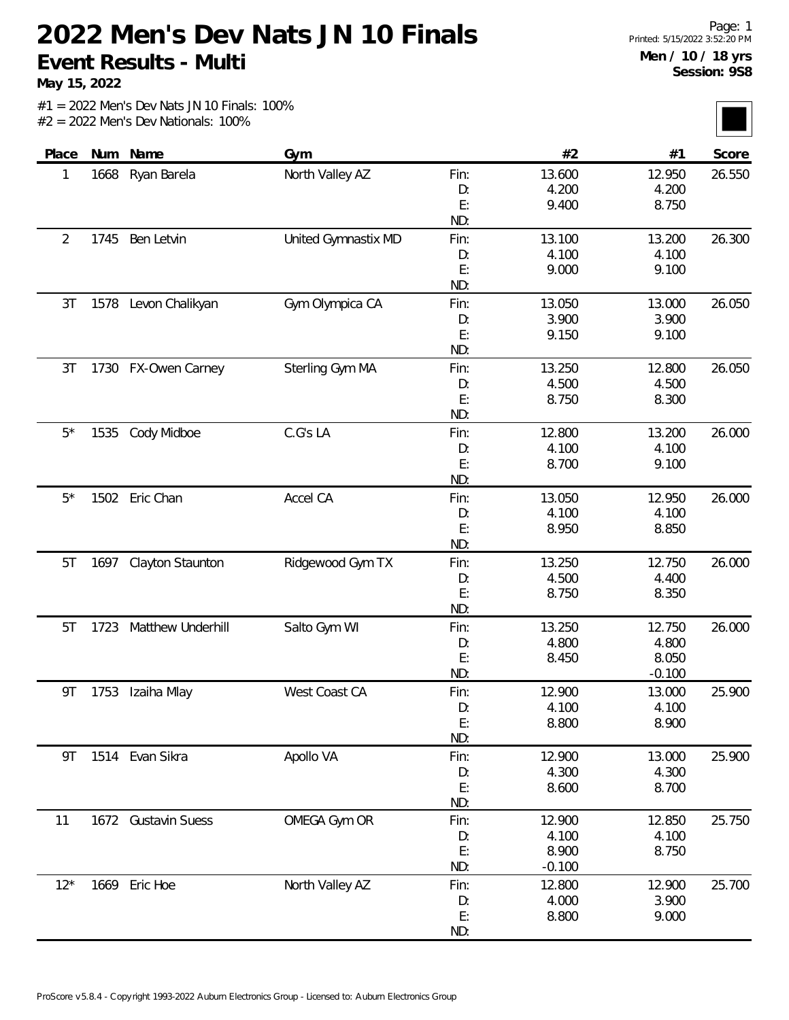**May 15, 2022**

| Place       | Num  | Name                  | Gym                 |      | #2       | #1       | Score  |
|-------------|------|-----------------------|---------------------|------|----------|----------|--------|
| 1           | 1668 | Ryan Barela           | North Valley AZ     | Fin: | 13.600   | 12.950   | 26.550 |
|             |      |                       |                     | D:   | 4.200    | 4.200    |        |
|             |      |                       |                     | E:   | 9.400    | 8.750    |        |
|             |      |                       |                     | ND:  |          |          |        |
| 2           | 1745 | Ben Letvin            | United Gymnastix MD | Fin: | 13.100   | 13.200   | 26.300 |
|             |      |                       |                     | D:   | 4.100    | 4.100    |        |
|             |      |                       |                     | E:   | 9.000    | 9.100    |        |
|             |      |                       |                     | ND:  |          |          |        |
| 3T          |      | 1578 Levon Chalikyan  | Gym Olympica CA     | Fin: | 13.050   | 13.000   | 26.050 |
|             |      |                       |                     | D:   | 3.900    | 3.900    |        |
|             |      |                       |                     | E:   | 9.150    | 9.100    |        |
|             |      |                       |                     | ND:  |          |          |        |
| 3T          |      | 1730 FX-Owen Carney   | Sterling Gym MA     | Fin: | 13.250   | 12.800   | 26.050 |
|             |      |                       |                     | D:   | 4.500    | 4.500    |        |
|             |      |                       |                     | E:   | 8.750    | 8.300    |        |
|             |      |                       |                     | ND:  |          |          |        |
| $5^{\star}$ |      | 1535 Cody Midboe      | C.G's LA            | Fin: | 12.800   | 13.200   | 26.000 |
|             |      |                       |                     | D:   | 4.100    | 4.100    |        |
|             |      |                       |                     | E:   | 8.700    | 9.100    |        |
|             |      |                       |                     | ND:  |          |          |        |
| $5^{\star}$ |      | 1502 Eric Chan        | Accel CA            | Fin: | 13.050   | 12.950   | 26.000 |
|             |      |                       |                     | D:   | 4.100    | 4.100    |        |
|             |      |                       |                     | E:   | 8.950    | 8.850    |        |
|             |      |                       |                     | ND:  |          |          |        |
| 5T          |      | 1697 Clayton Staunton | Ridgewood Gym TX    | Fin: | 13.250   | 12.750   | 26.000 |
|             |      |                       |                     | D:   | 4.500    | 4.400    |        |
|             |      |                       |                     | E:   | 8.750    | 8.350    |        |
|             |      |                       |                     | ND:  |          |          |        |
| 5T          | 1723 | Matthew Underhill     | Salto Gym WI        | Fin: | 13.250   | 12.750   | 26.000 |
|             |      |                       |                     | D:   | 4.800    | 4.800    |        |
|             |      |                       |                     | E:   | 8.450    | 8.050    |        |
|             |      |                       |                     | ND:  |          | $-0.100$ |        |
| 9Τ          | 1753 | Izaiha Mlay           | West Coast CA       | Fin: | 12.900   | 13.000   | 25.900 |
|             |      |                       |                     | D:   | 4.100    | 4.100    |        |
|             |      |                       |                     | E:   | 8.800    | 8.900    |        |
|             |      |                       |                     | ND:  |          |          |        |
| 9T          |      | 1514 Evan Sikra       | Apollo VA           | Fin: | 12.900   | 13.000   | 25.900 |
|             |      |                       |                     | D:   | 4.300    | 4.300    |        |
|             |      |                       |                     | E:   | 8.600    | 8.700    |        |
|             |      |                       |                     | ND:  |          |          |        |
| 11          |      | 1672 Gustavin Suess   | OMEGA Gym OR        | Fin: | 12.900   | 12.850   | 25.750 |
|             |      |                       |                     | D:   | 4.100    | 4.100    |        |
|             |      |                       |                     | E:   | 8.900    | 8.750    |        |
|             |      |                       |                     | ND:  | $-0.100$ |          |        |
| $12*$       |      | 1669 Eric Hoe         | North Valley AZ     | Fin: | 12.800   | 12.900   | 25.700 |
|             |      |                       |                     | D:   | 4.000    | 3.900    |        |
|             |      |                       |                     | E:   | 8.800    | 9.000    |        |
|             |      |                       |                     | ND:  |          |          |        |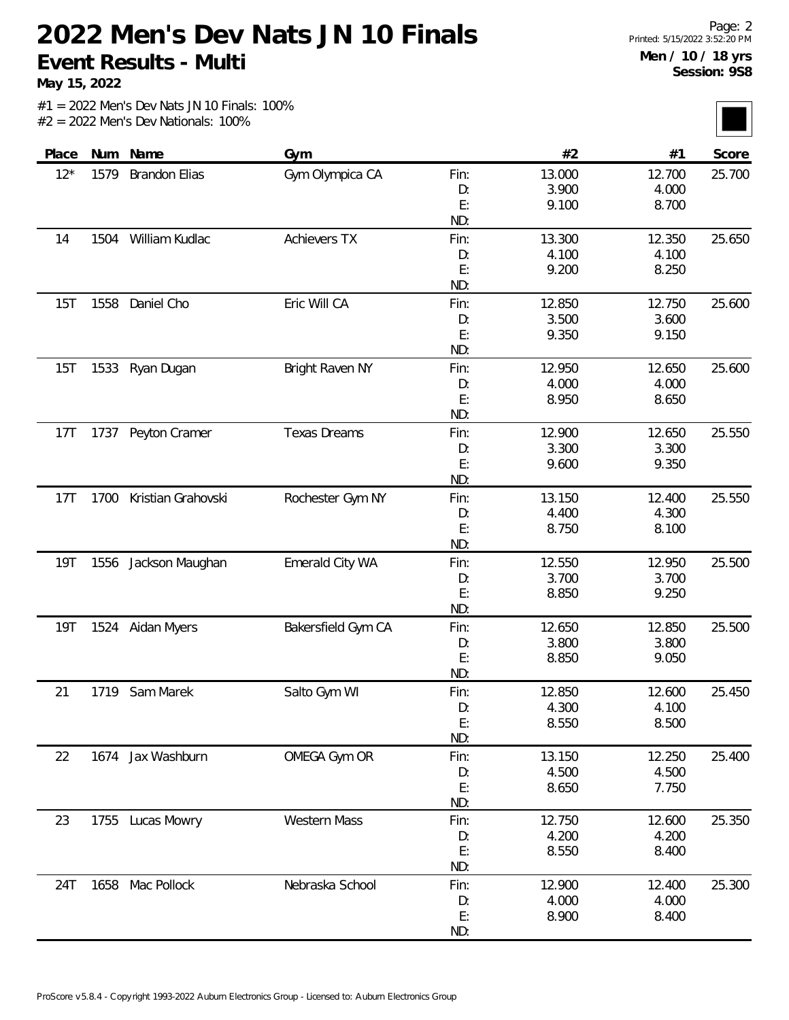**May 15, 2022**

| Place      | Num  | Name                 | Gym                 |           | #2     | #1     | Score  |
|------------|------|----------------------|---------------------|-----------|--------|--------|--------|
| $12*$      | 1579 | <b>Brandon Elias</b> | Gym Olympica CA     | Fin:      | 13.000 | 12.700 | 25.700 |
|            |      |                      |                     | D:        | 3.900  | 4.000  |        |
|            |      |                      |                     | E:        | 9.100  | 8.700  |        |
|            |      |                      |                     | ND:       |        |        |        |
| 14         | 1504 | William Kudlac       | <b>Achievers TX</b> | Fin:      | 13.300 | 12.350 | 25.650 |
|            |      |                      |                     | D:        | 4.100  | 4.100  |        |
|            |      |                      |                     | E:        | 9.200  | 8.250  |        |
|            |      |                      |                     | ND:       |        |        |        |
| 15T        | 1558 | Daniel Cho           | Eric Will CA        | Fin:      | 12.850 | 12.750 | 25.600 |
|            |      |                      |                     | D:        | 3.500  | 3.600  |        |
|            |      |                      |                     | E:        | 9.350  | 9.150  |        |
|            |      |                      |                     | ND:       |        |        |        |
| 15T        | 1533 | Ryan Dugan           | Bright Raven NY     | Fin:      | 12.950 | 12.650 | 25.600 |
|            |      |                      |                     | D:        | 4.000  | 4.000  |        |
|            |      |                      |                     | E:        | 8.950  | 8.650  |        |
|            |      |                      |                     | ND:       |        |        |        |
| 17T        |      | 1737 Peyton Cramer   | <b>Texas Dreams</b> | Fin:      | 12.900 | 12.650 | 25.550 |
|            |      |                      |                     | D:        | 3.300  | 3.300  |        |
|            |      |                      |                     | E:        | 9.600  | 9.350  |        |
|            |      |                      |                     | ND:       |        |        |        |
| 17T        | 1700 | Kristian Grahovski   | Rochester Gym NY    | Fin:      | 13.150 | 12.400 | 25.550 |
|            |      |                      |                     | D:        | 4.400  | 4.300  |        |
|            |      |                      |                     | E:<br>ND: | 8.750  | 8.100  |        |
| <b>19T</b> | 1556 | Jackson Maughan      | Emerald City WA     | Fin:      | 12.550 | 12.950 | 25.500 |
|            |      |                      |                     | D:        | 3.700  | 3.700  |        |
|            |      |                      |                     | E:        | 8.850  | 9.250  |        |
|            |      |                      |                     | ND:       |        |        |        |
| <b>19T</b> |      | 1524 Aidan Myers     | Bakersfield Gym CA  | Fin:      | 12.650 | 12.850 | 25.500 |
|            |      |                      |                     | D:        | 3.800  | 3.800  |        |
|            |      |                      |                     | E:        | 8.850  | 9.050  |        |
|            |      |                      |                     | ND:       |        |        |        |
| 21         | 1719 | Sam Marek            | Salto Gym WI        | Fin:      | 12.850 | 12.600 | 25.450 |
|            |      |                      |                     | D:        | 4.300  | 4.100  |        |
|            |      |                      |                     | E:        | 8.550  | 8.500  |        |
|            |      |                      |                     | ND:       |        |        |        |
| 22         |      | 1674 Jax Washburn    | OMEGA Gym OR        | Fin:      | 13.150 | 12.250 | 25.400 |
|            |      |                      |                     | D:        | 4.500  | 4.500  |        |
|            |      |                      |                     | E:        | 8.650  | 7.750  |        |
|            |      |                      |                     | ND:       |        |        |        |
| 23         | 1755 | Lucas Mowry          | Western Mass        | Fin:      | 12.750 | 12.600 | 25.350 |
|            |      |                      |                     | D:        | 4.200  | 4.200  |        |
|            |      |                      |                     | E:        | 8.550  | 8.400  |        |
|            |      |                      |                     | ND:       |        |        |        |
| 24T        |      | 1658 Mac Pollock     | Nebraska School     | Fin:      | 12.900 | 12.400 | 25.300 |
|            |      |                      |                     | D:        | 4.000  | 4.000  |        |
|            |      |                      |                     | E:        | 8.900  | 8.400  |        |
|            |      |                      |                     | ND:       |        |        |        |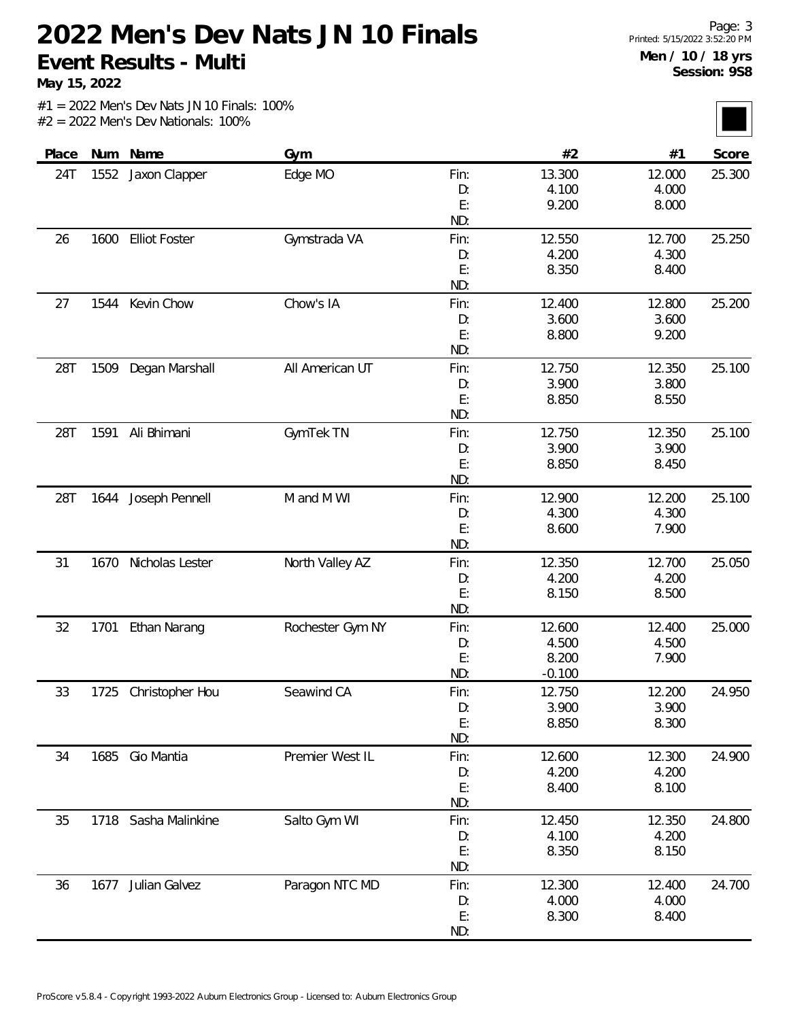**May 15, 2022**

| Place |      | Num Name             | Gym              |      | #2       | #1     | Score  |
|-------|------|----------------------|------------------|------|----------|--------|--------|
| 24T   | 1552 | Jaxon Clapper        | Edge MO          | Fin: | 13.300   | 12.000 | 25.300 |
|       |      |                      |                  | D:   | 4.100    | 4.000  |        |
|       |      |                      |                  | E:   | 9.200    | 8.000  |        |
|       |      |                      |                  | ND:  |          |        |        |
| 26    | 1600 | <b>Elliot Foster</b> | Gymstrada VA     | Fin: | 12.550   | 12.700 | 25.250 |
|       |      |                      |                  | D:   | 4.200    | 4.300  |        |
|       |      |                      |                  | E:   | 8.350    | 8.400  |        |
|       |      |                      |                  | ND:  |          |        |        |
| 27    | 1544 | Kevin Chow           | Chow's IA        | Fin: | 12.400   | 12.800 | 25.200 |
|       |      |                      |                  | D:   | 3.600    | 3.600  |        |
|       |      |                      |                  | E:   | 8.800    | 9.200  |        |
|       |      |                      |                  | ND:  |          |        |        |
| 28T   | 1509 | Degan Marshall       | All American UT  | Fin: | 12.750   | 12.350 | 25.100 |
|       |      |                      |                  | D:   | 3.900    | 3.800  |        |
|       |      |                      |                  | E:   | 8.850    | 8.550  |        |
|       |      |                      |                  | ND:  |          |        |        |
| 28T   | 1591 | Ali Bhimani          | GymTek TN        | Fin: | 12.750   | 12.350 | 25.100 |
|       |      |                      |                  | D:   | 3.900    | 3.900  |        |
|       |      |                      |                  | E:   | 8.850    | 8.450  |        |
|       |      |                      |                  | ND:  |          |        |        |
| 28T   | 1644 | Joseph Pennell       | M and M WI       | Fin: | 12.900   | 12.200 | 25.100 |
|       |      |                      |                  | D:   | 4.300    | 4.300  |        |
|       |      |                      |                  | E:   | 8.600    | 7.900  |        |
|       |      |                      |                  | ND:  |          |        |        |
| 31    | 1670 | Nicholas Lester      | North Valley AZ  | Fin: | 12.350   | 12.700 | 25.050 |
|       |      |                      |                  | D:   | 4.200    | 4.200  |        |
|       |      |                      |                  | E:   | 8.150    | 8.500  |        |
|       |      |                      |                  | ND:  |          |        |        |
| 32    | 1701 | Ethan Narang         | Rochester Gym NY | Fin: | 12.600   | 12.400 | 25.000 |
|       |      |                      |                  | D:   | 4.500    | 4.500  |        |
|       |      |                      |                  | E:   | 8.200    | 7.900  |        |
|       |      |                      |                  | ND:  | $-0.100$ |        |        |
| 33    | 1725 | Christopher Hou      | Seawind CA       | Fin: | 12.750   | 12.200 | 24.950 |
|       |      |                      |                  | D:   | 3.900    | 3.900  |        |
|       |      |                      |                  | E:   | 8.850    | 8.300  |        |
|       |      |                      |                  | ND:  |          |        |        |
| 34    | 1685 | Gio Mantia           | Premier West IL  | Fin: | 12.600   | 12.300 | 24.900 |
|       |      |                      |                  | D:   | 4.200    | 4.200  |        |
|       |      |                      |                  | E:   | 8.400    | 8.100  |        |
|       |      |                      |                  | ND:  |          |        |        |
| 35    | 1718 | Sasha Malinkine      | Salto Gym WI     | Fin: | 12.450   | 12.350 | 24.800 |
|       |      |                      |                  | D:   | 4.100    | 4.200  |        |
|       |      |                      |                  | E:   | 8.350    | 8.150  |        |
|       |      |                      |                  | ND:  |          |        |        |
| 36    | 1677 | Julian Galvez        | Paragon NTC MD   | Fin: | 12.300   | 12.400 | 24.700 |
|       |      |                      |                  | D:   | 4.000    | 4.000  |        |
|       |      |                      |                  | E:   | 8.300    | 8.400  |        |
|       |      |                      |                  | ND:  |          |        |        |
|       |      |                      |                  |      |          |        |        |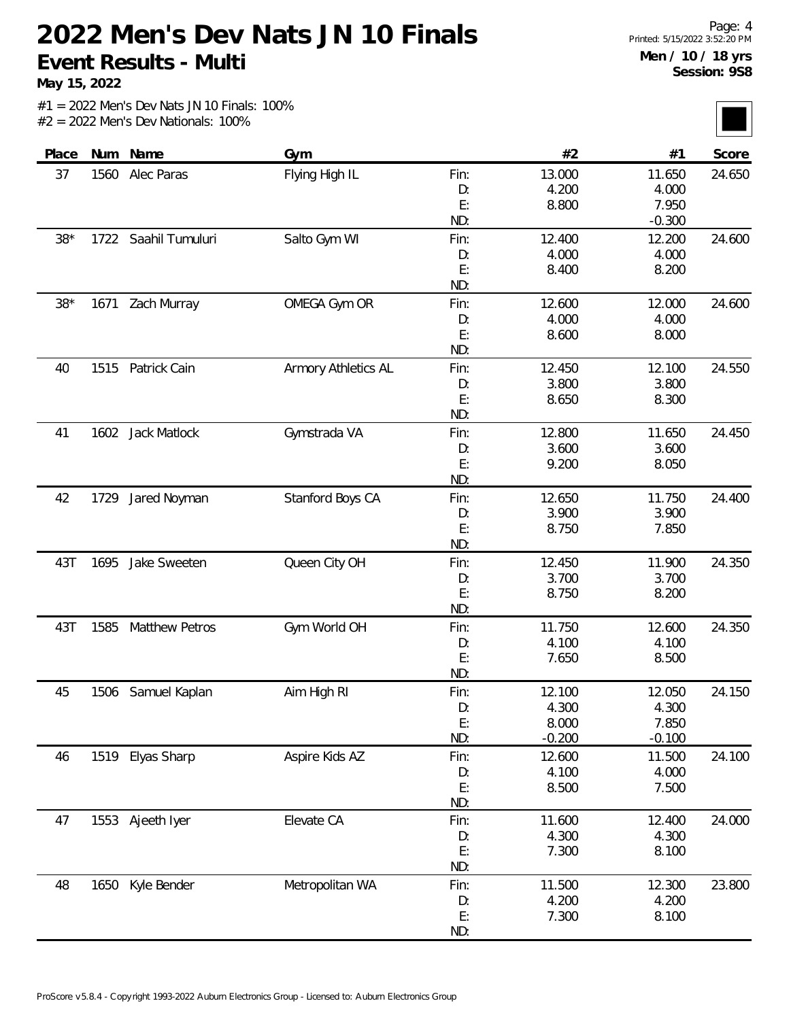**May 15, 2022**

| Score  | #1       | #2       |      | Gym                 | Num Name              |      | Place |
|--------|----------|----------|------|---------------------|-----------------------|------|-------|
| 24.650 | 11.650   | 13.000   | Fin: | Flying High IL      | Alec Paras            | 1560 | 37    |
|        | 4.000    | 4.200    | D:   |                     |                       |      |       |
|        | 7.950    | 8.800    | E:   |                     |                       |      |       |
|        | $-0.300$ |          | ND:  |                     |                       |      |       |
| 24.600 | 12.200   | 12.400   | Fin: | Salto Gym WI        | Saahil Tumuluri       | 1722 | $38*$ |
|        | 4.000    | 4.000    | D:   |                     |                       |      |       |
|        | 8.200    | 8.400    | E:   |                     |                       |      |       |
|        |          |          | ND:  |                     |                       |      |       |
| 24.600 | 12.000   | 12.600   | Fin: | OMEGA Gym OR        | Zach Murray           | 1671 | $38*$ |
|        | 4.000    | 4.000    | D:   |                     |                       |      |       |
|        | 8.000    | 8.600    | E:   |                     |                       |      |       |
|        |          |          | ND:  |                     |                       |      |       |
| 24.550 | 12.100   | 12.450   | Fin: | Armory Athletics AL | Patrick Cain          | 1515 | 40    |
|        | 3.800    | 3.800    | D:   |                     |                       |      |       |
|        | 8.300    | 8.650    | E:   |                     |                       |      |       |
|        |          |          | ND:  |                     |                       |      |       |
| 24.450 | 11.650   | 12.800   | Fin: | Gymstrada VA        | 1602 Jack Matlock     |      | 41    |
|        | 3.600    | 3.600    | D:   |                     |                       |      |       |
|        | 8.050    | 9.200    | E:   |                     |                       |      |       |
|        |          |          | ND:  |                     |                       |      |       |
| 24.400 | 11.750   | 12.650   | Fin: | Stanford Boys CA    | Jared Noyman          | 1729 | 42    |
|        | 3.900    | 3.900    | D:   |                     |                       |      |       |
|        | 7.850    | 8.750    | E:   |                     |                       |      |       |
|        |          |          | ND:  |                     |                       |      |       |
| 24.350 | 11.900   | 12.450   | Fin: | Queen City OH       | Jake Sweeten          | 1695 | 43T   |
|        | 3.700    | 3.700    | D:   |                     |                       |      |       |
|        | 8.200    | 8.750    | E:   |                     |                       |      |       |
|        |          |          | ND:  |                     |                       |      |       |
| 24.350 | 12.600   | 11.750   | Fin: | Gym World OH        | <b>Matthew Petros</b> | 1585 | 43T   |
|        | 4.100    | 4.100    | D:   |                     |                       |      |       |
|        | 8.500    | 7.650    | E:   |                     |                       |      |       |
|        |          |          | ND:  |                     |                       |      |       |
| 24.150 | 12.050   | 12.100   | Fin: | Aim High RI         | 1506 Samuel Kaplan    |      | 45    |
|        | 4.300    | 4.300    | D:   |                     |                       |      |       |
|        | 7.850    | 8.000    | E:   |                     |                       |      |       |
|        | $-0.100$ | $-0.200$ | ND:  |                     |                       |      |       |
| 24.100 | 11.500   | 12.600   | Fin: | Aspire Kids AZ      | 1519 Elyas Sharp      |      | 46    |
|        | 4.000    | 4.100    | D:   |                     |                       |      |       |
|        | 7.500    | 8.500    | E:   |                     |                       |      |       |
|        |          |          | ND:  |                     |                       |      |       |
| 24.000 | 12.400   | 11.600   | Fin: | Elevate CA          | 1553 Ajeeth Iyer      |      | 47    |
|        | 4.300    | 4.300    | D:   |                     |                       |      |       |
|        | 8.100    | 7.300    | E:   |                     |                       |      |       |
|        |          |          | ND:  |                     |                       |      |       |
| 23.800 | 12.300   | 11.500   | Fin: | Metropolitan WA     | Kyle Bender           | 1650 | 48    |
|        | 4.200    | 4.200    | D:   |                     |                       |      |       |
|        | 8.100    | 7.300    | E:   |                     |                       |      |       |
|        |          |          | ND:  |                     |                       |      |       |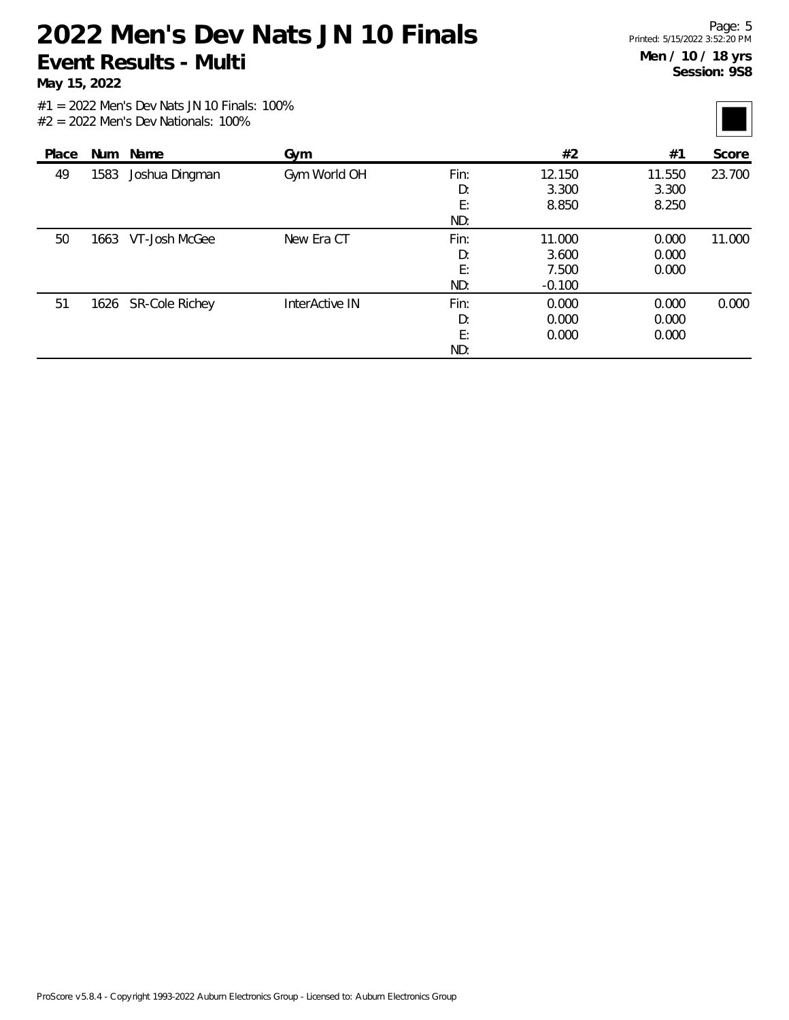**May 15, 2022**

| Place | Num  | Name                | Gym            |      | #2       | #1     | Score  |
|-------|------|---------------------|----------------|------|----------|--------|--------|
| 49    | 1583 | Joshua Dingman      | Gym World OH   | Fin: | 12.150   | 11.550 | 23.700 |
|       |      |                     |                | D:   | 3.300    | 3.300  |        |
|       |      |                     |                | E:   | 8.850    | 8.250  |        |
|       |      |                     |                | ND:  |          |        |        |
| 50    |      | 1663 VT-Josh McGee  | New Era CT     | Fin: | 11.000   | 0.000  | 11.000 |
|       |      |                     |                | D:   | 3.600    | 0.000  |        |
|       |      |                     |                | E:   | 7.500    | 0.000  |        |
|       |      |                     |                | ND:  | $-0.100$ |        |        |
| 51    |      | 1626 SR-Cole Richey | InterActive IN | Fin: | 0.000    | 0.000  | 0.000  |
|       |      |                     |                | D:   | 0.000    | 0.000  |        |
|       |      |                     |                | E:   | 0.000    | 0.000  |        |
|       |      |                     |                | ND:  |          |        |        |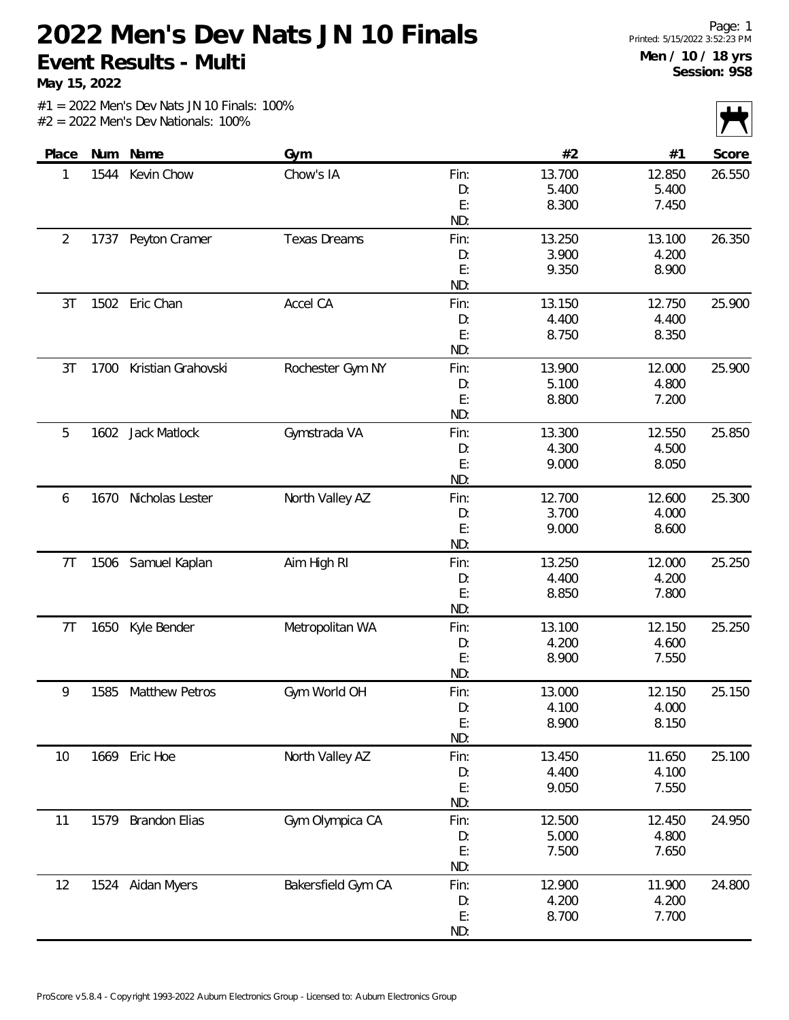**May 15, 2022**

|                |      |                       |                     |      |        |        | $\sqrt{ }$ |
|----------------|------|-----------------------|---------------------|------|--------|--------|------------|
| Place          | Num  | Name                  | Gym                 |      | #2     | #1     | Score      |
| 1              | 1544 | Kevin Chow            | Chow's IA           | Fin: | 13.700 | 12.850 | 26.550     |
|                |      |                       |                     | D:   | 5.400  | 5.400  |            |
|                |      |                       |                     | E:   | 8.300  | 7.450  |            |
|                |      |                       |                     | ND:  |        |        |            |
| $\overline{2}$ | 1737 | Peyton Cramer         | <b>Texas Dreams</b> | Fin: | 13.250 | 13.100 | 26.350     |
|                |      |                       |                     | D:   | 3.900  | 4.200  |            |
|                |      |                       |                     | E:   | 9.350  | 8.900  |            |
|                |      |                       |                     | ND:  |        |        |            |
| 3T             | 1502 | Eric Chan             | Accel CA            | Fin: | 13.150 | 12.750 | 25.900     |
|                |      |                       |                     | D:   | 4.400  | 4.400  |            |
|                |      |                       |                     | E:   | 8.750  | 8.350  |            |
|                |      |                       |                     | ND:  |        |        |            |
| 3T             | 1700 | Kristian Grahovski    | Rochester Gym NY    | Fin: | 13.900 | 12.000 | 25.900     |
|                |      |                       |                     | D:   | 5.100  | 4.800  |            |
|                |      |                       |                     | E:   | 8.800  | 7.200  |            |
|                |      |                       |                     | ND:  |        |        |            |
| 5              | 1602 | Jack Matlock          | Gymstrada VA        | Fin: | 13.300 | 12.550 | 25.850     |
|                |      |                       |                     | D:   | 4.300  | 4.500  |            |
|                |      |                       |                     | E:   | 9.000  | 8.050  |            |
|                |      |                       |                     | ND:  |        |        |            |
| 6              | 1670 | Nicholas Lester       | North Valley AZ     | Fin: | 12.700 | 12.600 | 25.300     |
|                |      |                       |                     | D:   | 3.700  | 4.000  |            |
|                |      |                       |                     | E:   | 9.000  | 8.600  |            |
|                |      |                       |                     | ND:  |        |        |            |
| 7 <sub>T</sub> | 1506 | Samuel Kaplan         | Aim High RI         | Fin: | 13.250 | 12.000 | 25.250     |
|                |      |                       |                     | D:   | 4.400  | 4.200  |            |
|                |      |                       |                     | E:   | 8.850  | 7.800  |            |
|                |      |                       |                     | ND:  |        |        |            |
| 7T             | 1650 | Kyle Bender           | Metropolitan WA     | Fin: | 13.100 | 12.150 | 25.250     |
|                |      |                       |                     | D:   | 4.200  | 4.600  |            |
|                |      |                       |                     | E:   | 8.900  | 7.550  |            |
|                |      |                       |                     | ND:  |        |        |            |
| 9              | 1585 | <b>Matthew Petros</b> | Gym World OH        | Fin: | 13.000 | 12.150 | 25.150     |
|                |      |                       |                     | D:   | 4.100  | 4.000  |            |
|                |      |                       |                     | E:   | 8.900  | 8.150  |            |
|                |      |                       |                     | ND:  |        |        |            |
| 10             |      | 1669 Eric Hoe         | North Valley AZ     | Fin: | 13.450 | 11.650 | 25.100     |
|                |      |                       |                     | D:   | 4.400  | 4.100  |            |
|                |      |                       |                     | E:   | 9.050  | 7.550  |            |
|                |      |                       |                     | ND:  |        |        |            |
| 11             | 1579 | <b>Brandon Elias</b>  | Gym Olympica CA     | Fin: | 12.500 | 12.450 | 24.950     |
|                |      |                       |                     | D:   | 5.000  | 4.800  |            |
|                |      |                       |                     | E:   | 7.500  | 7.650  |            |
|                |      |                       |                     | ND:  |        |        |            |
| 12             |      | 1524 Aidan Myers      | Bakersfield Gym CA  | Fin: | 12.900 | 11.900 | 24.800     |
|                |      |                       |                     | D:   | 4.200  | 4.200  |            |
|                |      |                       |                     | E:   | 8.700  | 7.700  |            |
|                |      |                       |                     | ND:  |        |        |            |
|                |      |                       |                     |      |        |        |            |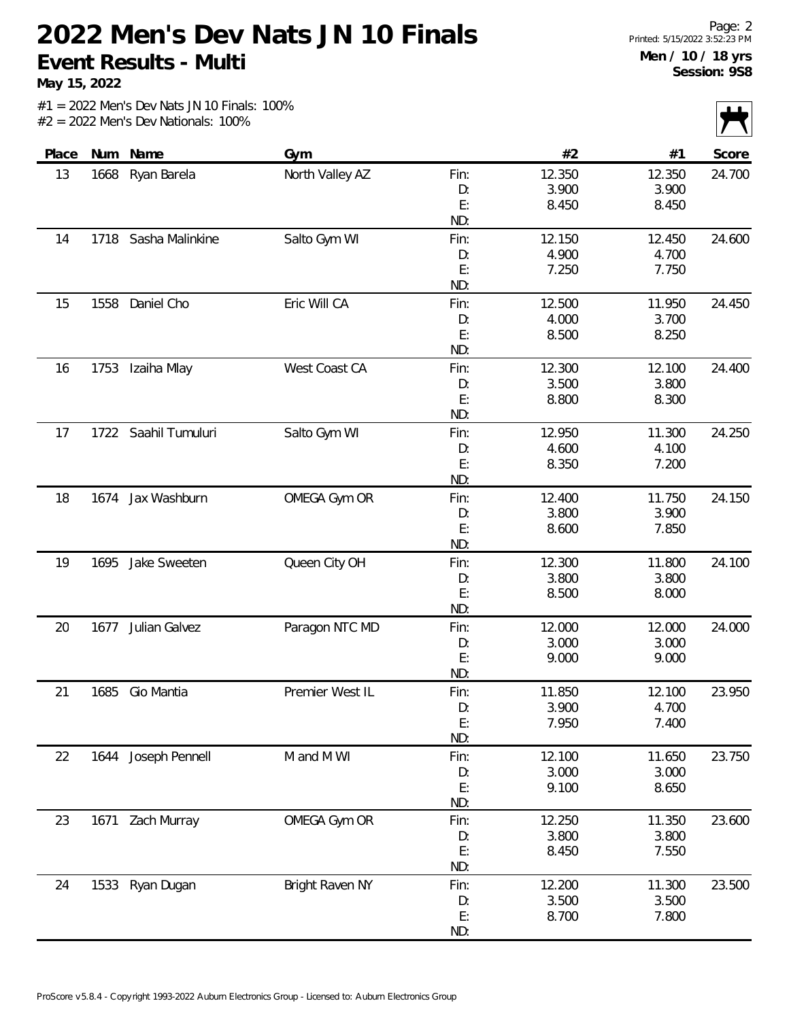**May 15, 2022**

| Place | Num  | Name                 | Gym             |            | #2     | #1     | $\mathbf{r}$<br>Score |
|-------|------|----------------------|-----------------|------------|--------|--------|-----------------------|
| 13    | 1668 | Ryan Barela          | North Valley AZ | Fin:       | 12.350 | 12.350 | 24.700                |
|       |      |                      |                 | D:         | 3.900  | 3.900  |                       |
|       |      |                      |                 | E:         | 8.450  | 8.450  |                       |
|       |      |                      |                 | ND:        |        |        |                       |
| 14    |      | 1718 Sasha Malinkine | Salto Gym WI    | Fin:       | 12.150 | 12.450 | 24.600                |
|       |      |                      |                 | D:         | 4.900  | 4.700  |                       |
|       |      |                      |                 | E:         | 7.250  | 7.750  |                       |
|       |      |                      |                 | ND:        |        |        |                       |
| 15    | 1558 | Daniel Cho           | Eric Will CA    | Fin:       | 12.500 | 11.950 | 24.450                |
|       |      |                      |                 | D:         | 4.000  | 3.700  |                       |
|       |      |                      |                 | E:         | 8.500  | 8.250  |                       |
|       |      |                      |                 | ND:        |        |        |                       |
| 16    | 1753 | Izaiha Mlay          | West Coast CA   | Fin:       | 12.300 | 12.100 | 24.400                |
|       |      |                      |                 | D:         | 3.500  | 3.800  |                       |
|       |      |                      |                 | E:         | 8.800  | 8.300  |                       |
|       |      |                      |                 | ND:        |        |        |                       |
| 17    |      | 1722 Saahil Tumuluri | Salto Gym WI    | Fin:       | 12.950 | 11.300 | 24.250                |
|       |      |                      |                 | D:         | 4.600  | 4.100  |                       |
|       |      |                      |                 | E:         | 8.350  | 7.200  |                       |
|       |      |                      |                 | ND:        |        |        |                       |
| 18    | 1674 | Jax Washburn         | OMEGA Gym OR    | Fin:       | 12.400 | 11.750 | 24.150                |
|       |      |                      |                 | D:         | 3.800  | 3.900  |                       |
|       |      |                      |                 | E:         | 8.600  | 7.850  |                       |
|       |      |                      |                 | ND:        |        |        |                       |
| 19    | 1695 | Jake Sweeten         | Queen City OH   | Fin:       | 12.300 | 11.800 | 24.100                |
|       |      |                      |                 | D:         | 3.800  | 3.800  |                       |
|       |      |                      |                 | E:         | 8.500  | 8.000  |                       |
|       |      |                      |                 | ND:        |        |        |                       |
| 20    | 1677 | Julian Galvez        | Paragon NTC MD  | Fin:       | 12.000 | 12.000 | 24.000                |
|       |      |                      |                 | D:         | 3.000  | 3.000  |                       |
|       |      |                      |                 | E:         | 9.000  | 9.000  |                       |
|       |      |                      |                 | ND:        |        |        |                       |
| 21    | 1685 | Gio Mantia           | Premier West IL | Fin:       | 11.850 | 12.100 | 23.950                |
|       |      |                      |                 | D:         | 3.900  | 4.700  |                       |
|       |      |                      |                 | E:<br>ND:  | 7.950  | 7.400  |                       |
|       |      |                      |                 |            |        |        |                       |
| 22    |      | 1644 Joseph Pennell  | M and M WI      | Fin:       | 12.100 | 11.650 | 23.750                |
|       |      |                      |                 | D:<br>E:   | 3.000  | 3.000  |                       |
|       |      |                      |                 | ND:        | 9.100  | 8.650  |                       |
|       |      |                      | OMEGA Gym OR    |            | 12.250 | 11.350 | 23.600                |
| 23    |      | 1671 Zach Murray     |                 | Fin:<br>D: | 3.800  | 3.800  |                       |
|       |      |                      |                 | E:         |        | 7.550  |                       |
|       |      |                      |                 | ND:        | 8.450  |        |                       |
| 24    |      |                      | Bright Raven NY |            | 12.200 | 11.300 | 23.500                |
|       | 1533 | Ryan Dugan           |                 | Fin:       | 3.500  | 3.500  |                       |
|       |      |                      |                 | D:<br>E:   | 8.700  | 7.800  |                       |
|       |      |                      |                 | ND:        |        |        |                       |
|       |      |                      |                 |            |        |        |                       |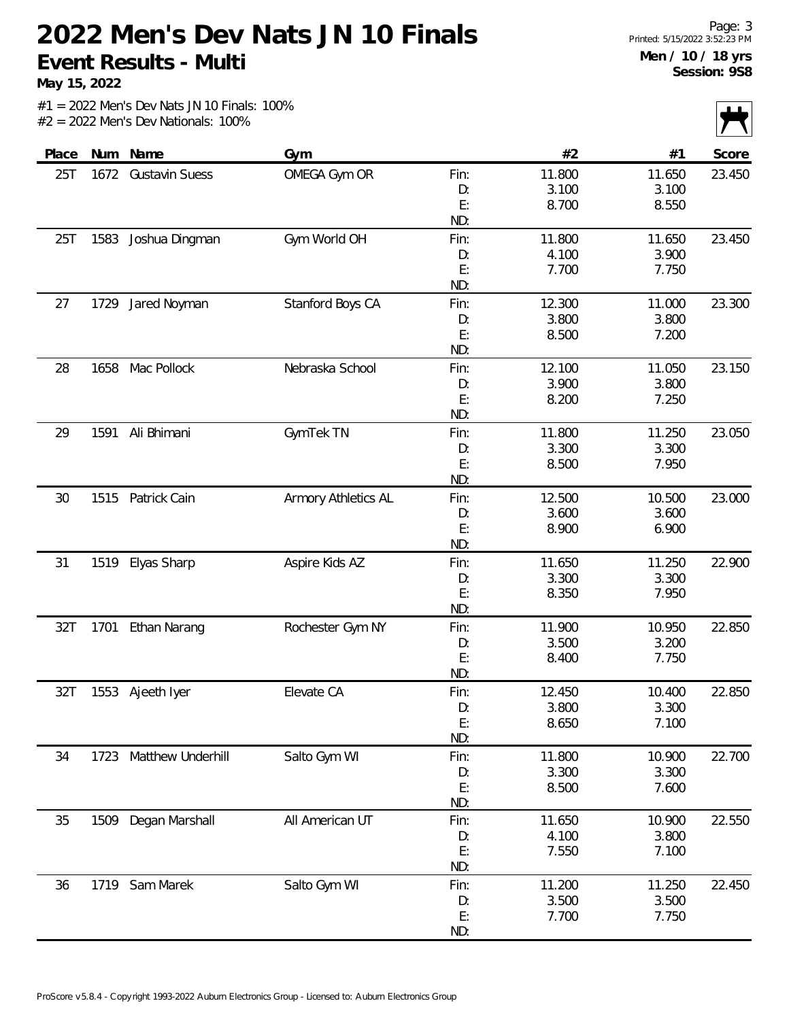**May 15, 2022**

|       |      |                     |                     |           |        |        | $\mathbf{r}$ |
|-------|------|---------------------|---------------------|-----------|--------|--------|--------------|
| Place | Num  | Name                | Gym                 |           | #2     | #1     | Score        |
| 25T   |      | 1672 Gustavin Suess | OMEGA Gym OR        | Fin:      | 11.800 | 11.650 | 23.450       |
|       |      |                     |                     | D:        | 3.100  | 3.100  |              |
|       |      |                     |                     | E:        | 8.700  | 8.550  |              |
|       |      |                     |                     | ND:       |        |        |              |
| 25T   | 1583 | Joshua Dingman      | Gym World OH        | Fin:      | 11.800 | 11.650 | 23.450       |
|       |      |                     |                     | D:        | 4.100  | 3.900  |              |
|       |      |                     |                     | E:        | 7.700  | 7.750  |              |
|       |      |                     |                     | ND:       |        |        |              |
| 27    | 1729 | Jared Noyman        | Stanford Boys CA    | Fin:      | 12.300 | 11.000 | 23.300       |
|       |      |                     |                     | D:        | 3.800  | 3.800  |              |
|       |      |                     |                     | E:        | 8.500  | 7.200  |              |
|       |      |                     |                     | ND:       |        |        |              |
| 28    | 1658 | Mac Pollock         | Nebraska School     | Fin:      | 12.100 | 11.050 | 23.150       |
|       |      |                     |                     | D:        | 3.900  | 3.800  |              |
|       |      |                     |                     | E:        | 8.200  | 7.250  |              |
|       |      |                     |                     | ND:       |        |        |              |
| 29    | 1591 | Ali Bhimani         | GymTek TN           | Fin:      | 11.800 | 11.250 | 23.050       |
|       |      |                     |                     | D:        | 3.300  | 3.300  |              |
|       |      |                     |                     | E:        | 8.500  | 7.950  |              |
|       |      |                     |                     | ND:       |        |        |              |
| 30    | 1515 | Patrick Cain        | Armory Athletics AL | Fin:      | 12.500 | 10.500 | 23.000       |
|       |      |                     |                     | D:        | 3.600  | 3.600  |              |
|       |      |                     |                     | E:<br>ND: | 8.900  | 6.900  |              |
| 31    | 1519 |                     |                     | Fin:      | 11.650 | 11.250 | 22.900       |
|       |      | Elyas Sharp         | Aspire Kids AZ      | D:        | 3.300  | 3.300  |              |
|       |      |                     |                     | E:        | 8.350  | 7.950  |              |
|       |      |                     |                     | ND:       |        |        |              |
| 32T   | 1701 | Ethan Narang        | Rochester Gym NY    | Fin:      | 11.900 | 10.950 | 22.850       |
|       |      |                     |                     | D:        | 3.500  | 3.200  |              |
|       |      |                     |                     | E:        | 8.400  | 7.750  |              |
|       |      |                     |                     | ND:       |        |        |              |
| 32T   |      | 1553 Ajeeth Iyer    | Elevate CA          | Fin:      | 12.450 | 10.400 | 22.850       |
|       |      |                     |                     | D:        | 3.800  | 3.300  |              |
|       |      |                     |                     | E:        | 8.650  | 7.100  |              |
|       |      |                     |                     | ND:       |        |        |              |
| 34    | 1723 | Matthew Underhill   | Salto Gym WI        | Fin:      | 11.800 | 10.900 | 22.700       |
|       |      |                     |                     | D:        | 3.300  | 3.300  |              |
|       |      |                     |                     | E:        | 8.500  | 7.600  |              |
|       |      |                     |                     | ND:       |        |        |              |
| 35    | 1509 | Degan Marshall      | All American UT     | Fin:      | 11.650 | 10.900 | 22.550       |
|       |      |                     |                     | D:        | 4.100  | 3.800  |              |
|       |      |                     |                     | E:        | 7.550  | 7.100  |              |
|       |      |                     |                     | ND:       |        |        |              |
| 36    |      | 1719 Sam Marek      | Salto Gym WI        | Fin:      | 11.200 | 11.250 | 22.450       |
|       |      |                     |                     | D:        | 3.500  | 3.500  |              |
|       |      |                     |                     | E:        | 7.700  | 7.750  |              |
|       |      |                     |                     | ND:       |        |        |              |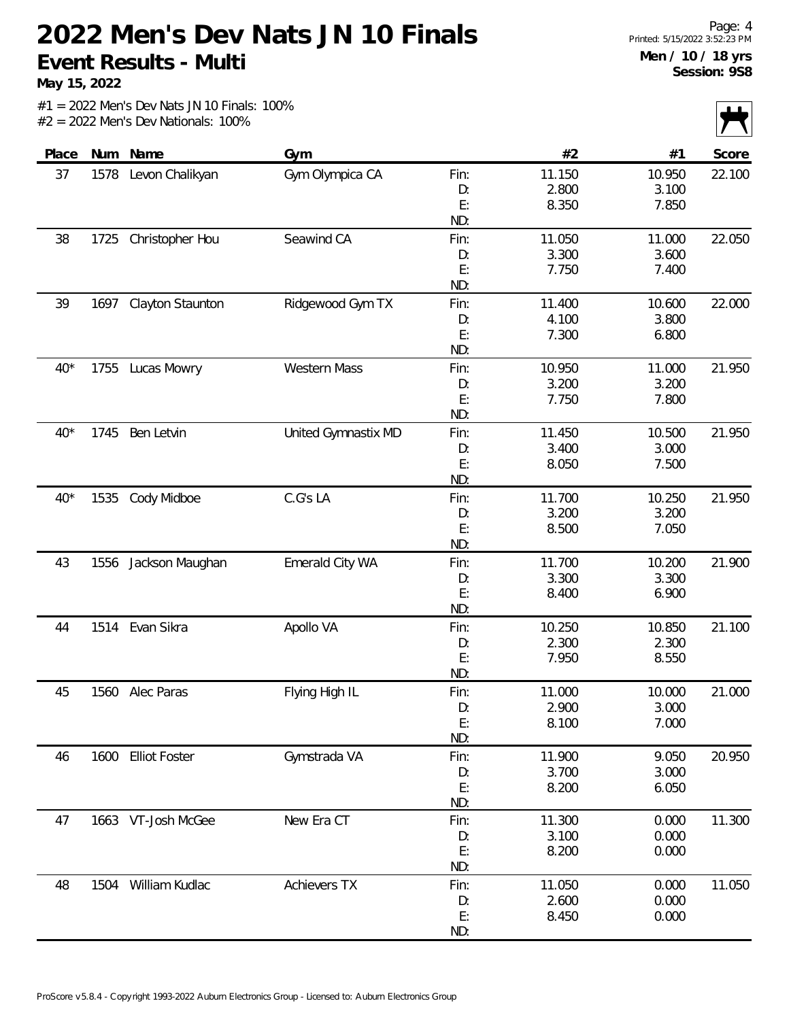**May 15, 2022**

|       |      |                    |                     |           |        |                | $\sim$ |
|-------|------|--------------------|---------------------|-----------|--------|----------------|--------|
| Place | Num  | Name               | Gym                 |           | #2     | #1             | Score  |
| 37    | 1578 | Levon Chalikyan    | Gym Olympica CA     | Fin:      | 11.150 | 10.950         | 22.100 |
|       |      |                    |                     | D:        | 2.800  | 3.100          |        |
|       |      |                    |                     | E:        | 8.350  | 7.850          |        |
|       |      |                    |                     | ND:       |        |                |        |
| 38    | 1725 | Christopher Hou    | Seawind CA          | Fin:      | 11.050 | 11.000         | 22.050 |
|       |      |                    |                     | D:        | 3.300  | 3.600          |        |
|       |      |                    |                     | E:        | 7.750  | 7.400          |        |
|       |      |                    |                     | ND:       |        |                |        |
| 39    | 1697 | Clayton Staunton   | Ridgewood Gym TX    | Fin:      | 11.400 | 10.600         | 22.000 |
|       |      |                    |                     | D:        | 4.100  | 3.800          |        |
|       |      |                    |                     | E:        | 7.300  | 6.800          |        |
|       |      |                    |                     | ND:       |        |                |        |
| $40*$ | 1755 | Lucas Mowry        | Western Mass        | Fin:      | 10.950 | 11.000         | 21.950 |
|       |      |                    |                     | D:        | 3.200  | 3.200          |        |
|       |      |                    |                     | E:        | 7.750  | 7.800          |        |
|       |      |                    |                     | ND:       |        |                |        |
| $40*$ | 1745 | Ben Letvin         | United Gymnastix MD | Fin:      | 11.450 | 10.500         | 21.950 |
|       |      |                    |                     | D:        | 3.400  | 3.000          |        |
|       |      |                    |                     | E:        | 8.050  | 7.500          |        |
|       |      |                    |                     | ND:       |        |                |        |
| $40*$ | 1535 | Cody Midboe        | C.G's LA            | Fin:      | 11.700 | 10.250         | 21.950 |
|       |      |                    |                     | D:        | 3.200  | 3.200          |        |
|       |      |                    |                     | E:        | 8.500  | 7.050          |        |
|       |      |                    |                     | ND:       |        |                |        |
| 43    | 1556 | Jackson Maughan    | Emerald City WA     | Fin:      | 11.700 | 10.200         | 21.900 |
|       |      |                    |                     | D:        | 3.300  | 3.300          |        |
|       |      |                    |                     | E:        | 8.400  | 6.900          |        |
|       |      |                    |                     | ND:       |        |                |        |
| 44    |      | 1514 Evan Sikra    | Apollo VA           | Fin:      | 10.250 | 10.850         | 21.100 |
|       |      |                    |                     | D:        | 2.300  | 2.300          |        |
|       |      |                    |                     | E:        | 7.950  | 8.550          |        |
|       |      |                    |                     | ND:       |        |                |        |
| 45    | 1560 | Alec Paras         | Flying High IL      | Fin:      | 11.000 | 10.000         | 21.000 |
|       |      |                    |                     | D:        | 2.900  | 3.000          |        |
|       |      |                    |                     | E:<br>ND: | 8.100  | 7.000          |        |
|       |      |                    | Gymstrada VA        |           | 11.900 |                |        |
| 46    |      | 1600 Elliot Foster |                     | Fin:      | 3.700  | 9.050<br>3.000 | 20.950 |
|       |      |                    |                     | D:        |        |                |        |
|       |      |                    |                     | E:<br>ND: | 8.200  | 6.050          |        |
| 47    |      | 1663 VT-Josh McGee | New Era CT          | Fin:      | 11.300 | 0.000          | 11.300 |
|       |      |                    |                     | D:        | 3.100  | 0.000          |        |
|       |      |                    |                     | E:        | 8.200  | 0.000          |        |
|       |      |                    |                     | ND:       |        |                |        |
|       |      | William Kudlac     | <b>Achievers TX</b> |           | 11.050 | 0.000          |        |
| 48    | 1504 |                    |                     | Fin:      | 2.600  | 0.000          | 11.050 |
|       |      |                    |                     | D:<br>E:  | 8.450  | 0.000          |        |
|       |      |                    |                     | ND:       |        |                |        |
|       |      |                    |                     |           |        |                |        |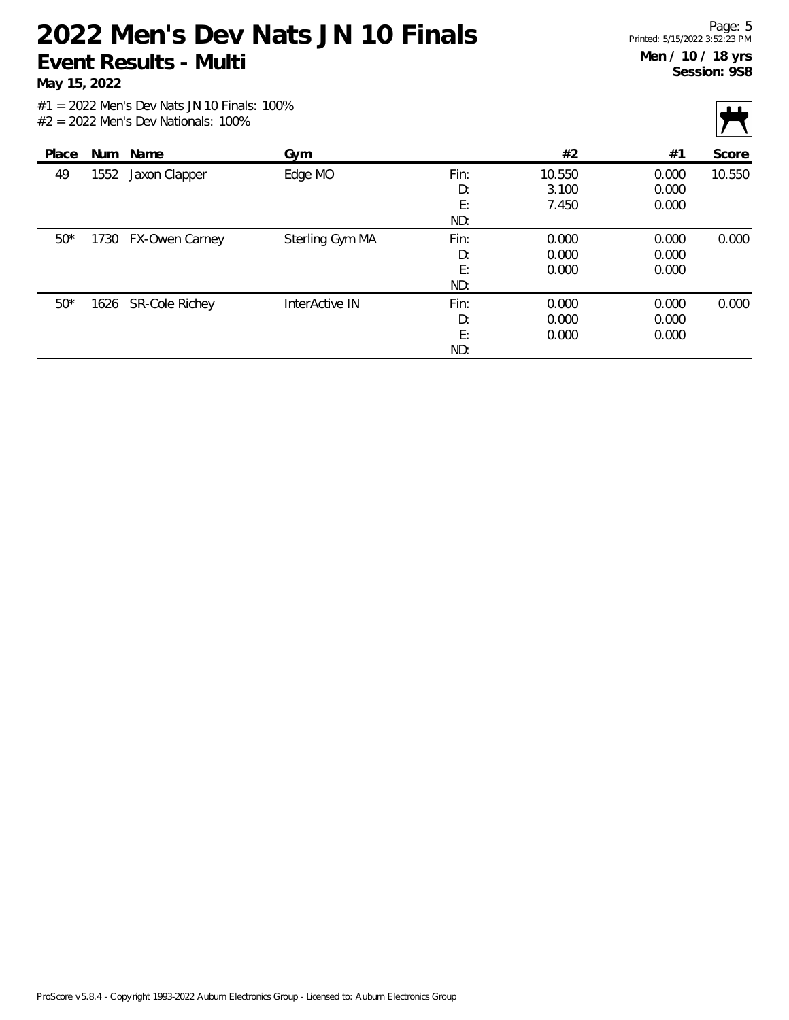**May 15, 2022**

|       |      |                     |                 |      |        |       | $\sim$ |
|-------|------|---------------------|-----------------|------|--------|-------|--------|
| Place | Num  | Name                | Gym             |      | #2     | #1    | Score  |
| 49    | 1552 | Jaxon Clapper       | Edge MO         | Fin: | 10.550 | 0.000 | 10.550 |
|       |      |                     |                 | D:   | 3.100  | 0.000 |        |
|       |      |                     |                 | E:   | 7.450  | 0.000 |        |
|       |      |                     |                 | ND:  |        |       |        |
| $50*$ | 1730 | FX-Owen Carney      | Sterling Gym MA | Fin: | 0.000  | 0.000 | 0.000  |
|       |      |                     |                 | D:   | 0.000  | 0.000 |        |
|       |      |                     |                 | E:   | 0.000  | 0.000 |        |
|       |      |                     |                 | ND:  |        |       |        |
| $50*$ |      | 1626 SR-Cole Richey | InterActive IN  | Fin: | 0.000  | 0.000 | 0.000  |
|       |      |                     |                 | D:   | 0.000  | 0.000 |        |
|       |      |                     |                 | E:   | 0.000  | 0.000 |        |
|       |      |                     |                 | ND:  |        |       |        |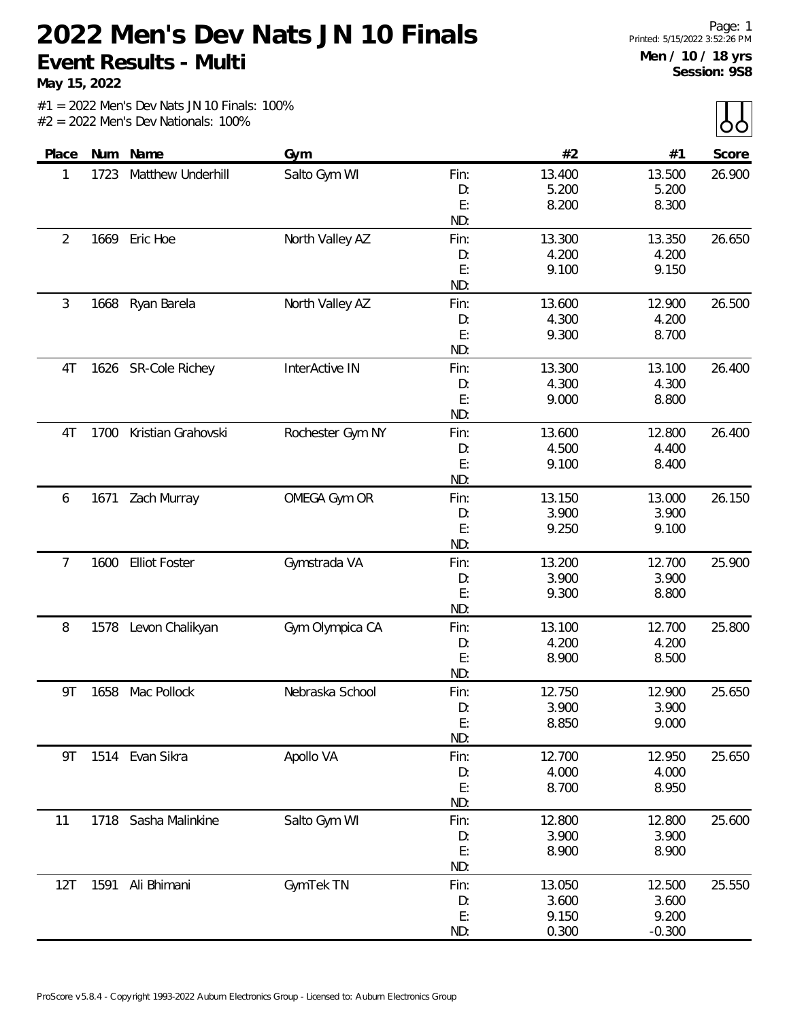**May 15, 2022**

|  |                                       |  |  | $#1 = 2022$ Men's Dev Nats JN 10 Finals: 100% |  |
|--|---------------------------------------|--|--|-----------------------------------------------|--|
|  | $#2 = 2022$ Men's Dev Nationals: 100% |  |  |                                               |  |

| Place |      | Num Name             | Gym              |           | #2             | #1             | Score  |
|-------|------|----------------------|------------------|-----------|----------------|----------------|--------|
| 1     | 1723 | Matthew Underhill    | Salto Gym WI     | Fin:      | 13.400         | 13.500         | 26.900 |
|       |      |                      |                  | D:        | 5.200          | 5.200          |        |
|       |      |                      |                  | E:        | 8.200          | 8.300          |        |
|       |      |                      |                  | ND:       |                |                |        |
| 2     |      | 1669 Eric Hoe        | North Valley AZ  | Fin:      | 13.300         | 13.350         | 26.650 |
|       |      |                      |                  | D:        | 4.200          | 4.200          |        |
|       |      |                      |                  | E:        | 9.100          | 9.150          |        |
|       |      |                      |                  | ND:       |                |                |        |
| 3     | 1668 | Ryan Barela          | North Valley AZ  | Fin:      | 13.600         | 12.900         | 26.500 |
|       |      |                      |                  | D:        | 4.300          | 4.200          |        |
|       |      |                      |                  | E:        | 9.300          | 8.700          |        |
|       |      |                      |                  | ND:       |                |                |        |
| 4T    |      | 1626 SR-Cole Richey  | InterActive IN   | Fin:      | 13.300         | 13.100         | 26.400 |
|       |      |                      |                  | D:        | 4.300          | 4.300          |        |
|       |      |                      |                  | E:        | 9.000          | 8.800          |        |
|       |      |                      |                  | ND:       |                |                |        |
| 4T    | 1700 | Kristian Grahovski   | Rochester Gym NY | Fin:      | 13.600         | 12.800         | 26.400 |
|       |      |                      |                  | D:        | 4.500          | 4.400          |        |
|       |      |                      |                  | E:        | 9.100          | 8.400          |        |
|       |      |                      |                  | ND:       |                |                |        |
| 6     |      | 1671 Zach Murray     | OMEGA Gym OR     | Fin:      | 13.150         | 13.000         | 26.150 |
|       |      |                      |                  | D:        | 3.900          | 3.900          |        |
|       |      |                      |                  | E:        | 9.250          | 9.100          |        |
|       |      |                      |                  | ND:       |                |                |        |
| 7     | 1600 | <b>Elliot Foster</b> | Gymstrada VA     | Fin:      | 13.200         | 12.700         | 25.900 |
|       |      |                      |                  | D:        | 3.900          | 3.900          |        |
|       |      |                      |                  | E:        | 9.300          | 8.800          |        |
|       |      |                      |                  | ND:       |                |                |        |
| 8     |      | 1578 Levon Chalikyan | Gym Olympica CA  | Fin:      | 13.100         | 12.700         | 25.800 |
|       |      |                      |                  | D:        | 4.200          | 4.200          |        |
|       |      |                      |                  | E:<br>ND: | 8.900          | 8.500          |        |
|       |      |                      |                  |           |                |                |        |
| 9Τ    | 1658 | Mac Pollock          | Nebraska School  | Fin:      | 12.750         | 12.900         | 25.650 |
|       |      |                      |                  | D:<br>E:  | 3.900<br>8.850 | 3.900<br>9.000 |        |
|       |      |                      |                  | ND:       |                |                |        |
| 9Τ    |      | 1514 Evan Sikra      | Apollo VA        | Fin:      | 12.700         | 12.950         | 25.650 |
|       |      |                      |                  | D:        | 4.000          | 4.000          |        |
|       |      |                      |                  | E:        | 8.700          | 8.950          |        |
|       |      |                      |                  | ND:       |                |                |        |
| 11    | 1718 | Sasha Malinkine      | Salto Gym WI     | Fin:      | 12.800         | 12.800         | 25.600 |
|       |      |                      |                  | D:        | 3.900          | 3.900          |        |
|       |      |                      |                  | E:        | 8.900          | 8.900          |        |
|       |      |                      |                  | ND:       |                |                |        |
| 12T   | 1591 | Ali Bhimani          | GymTek TN        | Fin:      | 13.050         | 12.500         | 25.550 |
|       |      |                      |                  | D:        | 3.600          | 3.600          |        |
|       |      |                      |                  | E:        | 9.150          | 9.200          |        |
|       |      |                      |                  | ND:       | 0.300          | $-0.300$       |        |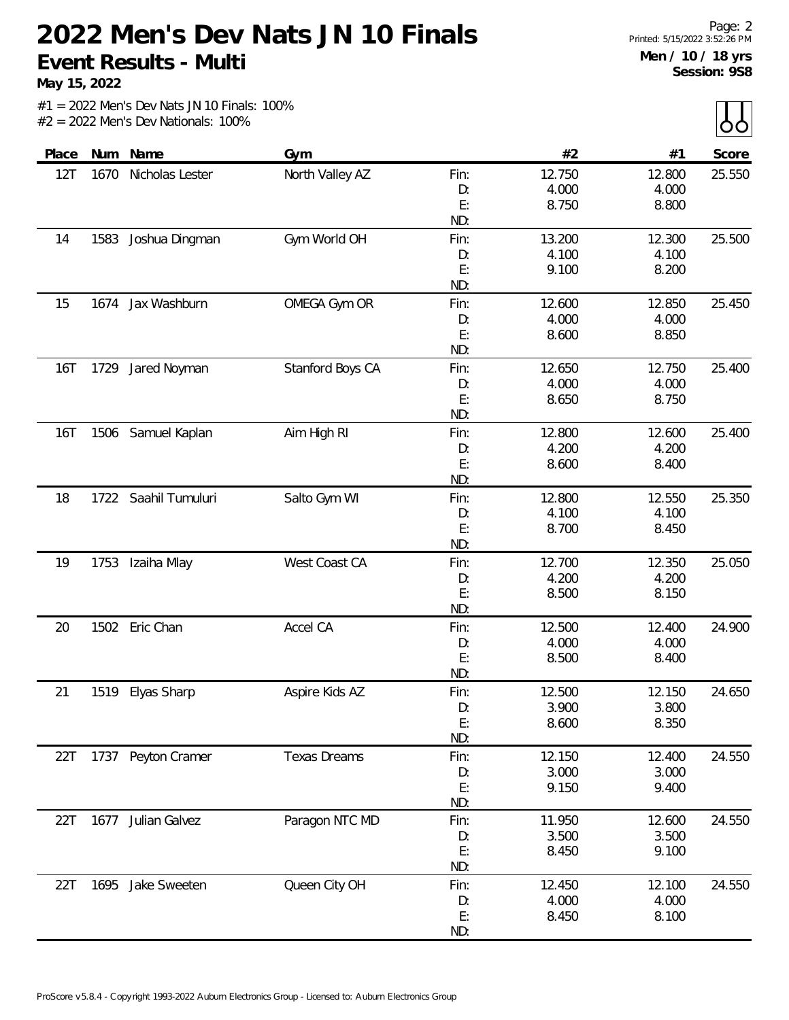**May 15, 2022**

|       |      |                      |                     |      |        |        | $\sim$ $\sim$ $\sim$ |
|-------|------|----------------------|---------------------|------|--------|--------|----------------------|
| Place | Num  | Name                 | Gym                 |      | #2     | #1     | Score                |
| 12T   | 1670 | Nicholas Lester      | North Valley AZ     | Fin: | 12.750 | 12.800 | 25.550               |
|       |      |                      |                     | D:   | 4.000  | 4.000  |                      |
|       |      |                      |                     | E:   | 8.750  | 8.800  |                      |
|       |      |                      |                     | ND:  |        |        |                      |
| 14    | 1583 | Joshua Dingman       | Gym World OH        | Fin: | 13.200 | 12.300 | 25.500               |
|       |      |                      |                     | D:   | 4.100  | 4.100  |                      |
|       |      |                      |                     | E:   | 9.100  | 8.200  |                      |
|       |      |                      |                     | ND:  |        |        |                      |
| 15    | 1674 | Jax Washburn         | OMEGA Gym OR        | Fin: | 12.600 | 12.850 | 25.450               |
|       |      |                      |                     | D:   | 4.000  | 4.000  |                      |
|       |      |                      |                     | E:   | 8.600  | 8.850  |                      |
|       |      |                      |                     | ND:  |        |        |                      |
| 16T   | 1729 | Jared Noyman         | Stanford Boys CA    | Fin: | 12.650 | 12.750 | 25.400               |
|       |      |                      |                     | D:   | 4.000  | 4.000  |                      |
|       |      |                      |                     | E:   | 8.650  | 8.750  |                      |
|       |      |                      |                     | ND:  |        |        |                      |
| 16T   |      | 1506 Samuel Kaplan   | Aim High RI         | Fin: | 12.800 | 12.600 | 25.400               |
|       |      |                      |                     | D:   | 4.200  | 4.200  |                      |
|       |      |                      |                     | E:   | 8.600  | 8.400  |                      |
|       |      |                      |                     | ND:  |        |        |                      |
| 18    |      | 1722 Saahil Tumuluri | Salto Gym WI        | Fin: | 12.800 | 12.550 | 25.350               |
|       |      |                      |                     | D:   | 4.100  | 4.100  |                      |
|       |      |                      |                     | E:   | 8.700  | 8.450  |                      |
|       |      |                      |                     | ND:  |        |        |                      |
| 19    | 1753 | Izaiha Mlay          | West Coast CA       | Fin: | 12.700 | 12.350 | 25.050               |
|       |      |                      |                     | D:   | 4.200  | 4.200  |                      |
|       |      |                      |                     | E:   | 8.500  | 8.150  |                      |
|       |      |                      |                     | ND:  |        |        |                      |
| 20    |      | 1502 Eric Chan       | Accel CA            | Fin: | 12.500 | 12.400 | 24.900               |
|       |      |                      |                     | D:   | 4.000  | 4.000  |                      |
|       |      |                      |                     | E:   | 8.500  | 8.400  |                      |
|       |      |                      |                     | ND:  |        |        |                      |
| 21    | 1519 | Elyas Sharp          | Aspire Kids AZ      | Fin: | 12.500 | 12.150 | 24.650               |
|       |      |                      |                     | D:   | 3.900  | 3.800  |                      |
|       |      |                      |                     | E:   | 8.600  | 8.350  |                      |
|       |      |                      |                     | ND:  |        |        |                      |
| 22T   |      | 1737 Peyton Cramer   | <b>Texas Dreams</b> | Fin: | 12.150 | 12.400 | 24.550               |
|       |      |                      |                     | D:   | 3.000  | 3.000  |                      |
|       |      |                      |                     | E:   | 9.150  | 9.400  |                      |
|       |      |                      |                     | ND:  |        |        |                      |
| 22T   | 1677 | Julian Galvez        | Paragon NTC MD      | Fin: | 11.950 | 12.600 | 24.550               |
|       |      |                      |                     | D:   | 3.500  | 3.500  |                      |
|       |      |                      |                     | E:   | 8.450  | 9.100  |                      |
|       |      |                      |                     | ND:  |        |        |                      |
| 22T   | 1695 | Jake Sweeten         | Queen City OH       | Fin: | 12.450 | 12.100 | 24.550               |
|       |      |                      |                     | D:   | 4.000  | 4.000  |                      |
|       |      |                      |                     | E:   | 8.450  | 8.100  |                      |
|       |      |                      |                     | ND:  |        |        |                      |
|       |      |                      |                     |      |        |        |                      |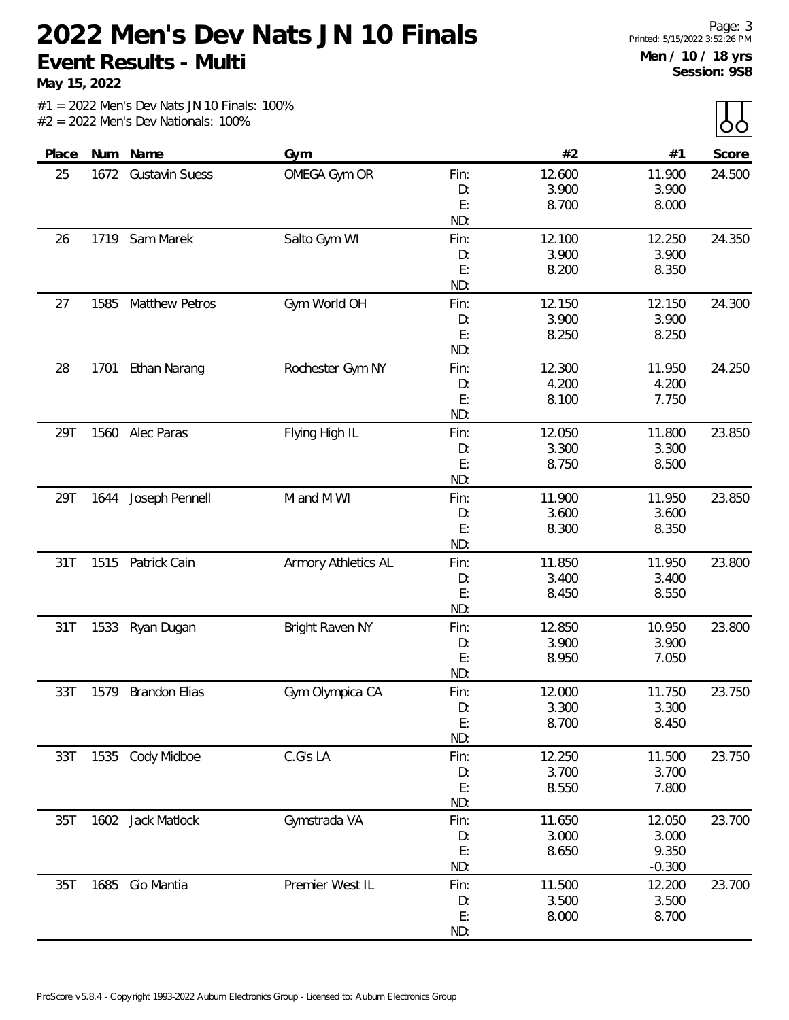**May 15, 2022**

|       |      |                       |                     |            |        |          | $\sim$ $\sim$ |
|-------|------|-----------------------|---------------------|------------|--------|----------|---------------|
| Place |      | Num Name              | Gym                 |            | #2     | #1       | Score         |
| 25    |      | 1672 Gustavin Suess   | OMEGA Gym OR        | Fin:       | 12.600 | 11.900   | 24.500        |
|       |      |                       |                     | D:         | 3.900  | 3.900    |               |
|       |      |                       |                     | E:         | 8.700  | 8.000    |               |
|       |      |                       |                     | ND:        |        |          |               |
| 26    |      | 1719 Sam Marek        | Salto Gym WI        | Fin:       | 12.100 | 12.250   | 24.350        |
|       |      |                       |                     | D:         | 3.900  | 3.900    |               |
|       |      |                       |                     | E:         | 8.200  | 8.350    |               |
|       |      |                       |                     | ND:        |        |          |               |
| 27    | 1585 | <b>Matthew Petros</b> | Gym World OH        | Fin:       | 12.150 | 12.150   | 24.300        |
|       |      |                       |                     | D:         | 3.900  | 3.900    |               |
|       |      |                       |                     | E:         | 8.250  | 8.250    |               |
|       |      |                       |                     | ND:        |        |          |               |
| 28    | 1701 | Ethan Narang          | Rochester Gym NY    | Fin:       | 12.300 | 11.950   | 24.250        |
|       |      |                       |                     | D:         | 4.200  | 4.200    |               |
|       |      |                       |                     | E:         | 8.100  | 7.750    |               |
|       |      |                       |                     | ND:        |        |          |               |
| 29T   |      | 1560 Alec Paras       | Flying High IL      | Fin:       | 12.050 | 11.800   | 23.850        |
|       |      |                       |                     | D:         | 3.300  | 3.300    |               |
|       |      |                       |                     | E:         | 8.750  | 8.500    |               |
|       |      |                       |                     | ND:        |        |          |               |
| 29T   |      | 1644 Joseph Pennell   | M and M WI          | Fin:       | 11.900 | 11.950   | 23.850        |
|       |      |                       |                     | D:         | 3.600  | 3.600    |               |
|       |      |                       |                     | E:         | 8.300  | 8.350    |               |
|       |      | Patrick Cain          |                     | ND:        | 11.850 | 11.950   | 23.800        |
| 31T   | 1515 |                       | Armory Athletics AL | Fin:<br>D: | 3.400  | 3.400    |               |
|       |      |                       |                     | E:         | 8.450  | 8.550    |               |
|       |      |                       |                     | ND:        |        |          |               |
| 31T   | 1533 | Ryan Dugan            | Bright Raven NY     | Fin:       | 12.850 | 10.950   | 23.800        |
|       |      |                       |                     | D:         | 3.900  | 3.900    |               |
|       |      |                       |                     | E:         | 8.950  | 7.050    |               |
|       |      |                       |                     | ND:        |        |          |               |
| 33T   | 1579 | <b>Brandon Elias</b>  | Gym Olympica CA     | Fin:       | 12.000 | 11.750   | 23.750        |
|       |      |                       |                     | D:         | 3.300  | 3.300    |               |
|       |      |                       |                     | E:         | 8.700  | 8.450    |               |
|       |      |                       |                     | ND:        |        |          |               |
| 33T   |      | 1535 Cody Midboe      | C.G's LA            | Fin:       | 12.250 | 11.500   | 23.750        |
|       |      |                       |                     | D:         | 3.700  | 3.700    |               |
|       |      |                       |                     | E:         | 8.550  | 7.800    |               |
|       |      |                       |                     | ND:        |        |          |               |
| 35T   |      | 1602 Jack Matlock     | Gymstrada VA        | Fin:       | 11.650 | 12.050   | 23.700        |
|       |      |                       |                     | D:         | 3.000  | 3.000    |               |
|       |      |                       |                     | E:         | 8.650  | 9.350    |               |
|       |      |                       |                     | ND:        |        | $-0.300$ |               |
| 35T   | 1685 | Gio Mantia            | Premier West IL     | Fin:       | 11.500 | 12.200   | 23.700        |
|       |      |                       |                     | D:         | 3.500  | 3.500    |               |
|       |      |                       |                     | E:         | 8.000  | 8.700    |               |
|       |      |                       |                     | ND:        |        |          |               |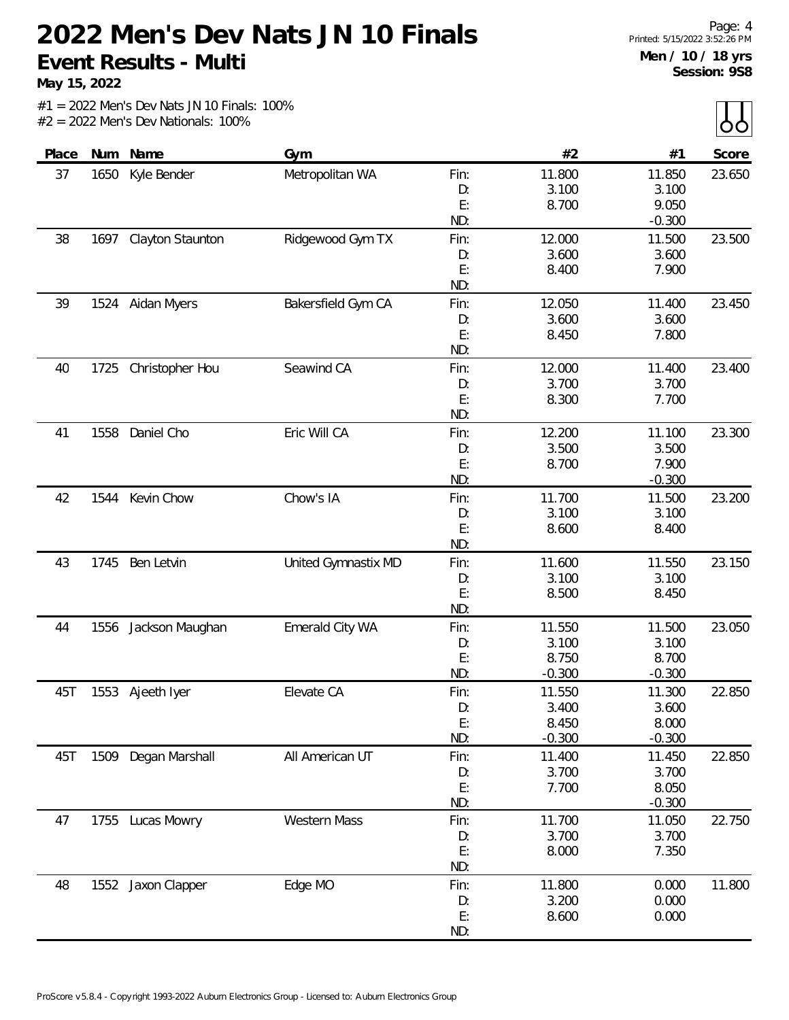**May 15, 2022**

|       |      |                       |                     |      |          |          | $ -$   |
|-------|------|-----------------------|---------------------|------|----------|----------|--------|
| Place | Num  | Name                  | Gym                 |      | #2       | #1       | Score  |
| 37    | 1650 | Kyle Bender           | Metropolitan WA     | Fin: | 11.800   | 11.850   | 23.650 |
|       |      |                       |                     | D:   | 3.100    | 3.100    |        |
|       |      |                       |                     | E:   | 8.700    | 9.050    |        |
|       |      |                       |                     | ND:  |          | $-0.300$ |        |
| 38    |      | 1697 Clayton Staunton | Ridgewood Gym TX    | Fin: | 12.000   | 11.500   | 23.500 |
|       |      |                       |                     | D:   | 3.600    | 3.600    |        |
|       |      |                       |                     | E:   | 8.400    | 7.900    |        |
|       |      |                       |                     | ND:  |          |          |        |
| 39    |      | 1524 Aidan Myers      | Bakersfield Gym CA  | Fin: | 12.050   | 11.400   | 23.450 |
|       |      |                       |                     | D:   | 3.600    | 3.600    |        |
|       |      |                       |                     | E:   | 8.450    | 7.800    |        |
|       |      |                       |                     | ND:  |          |          |        |
| 40    | 1725 | Christopher Hou       | Seawind CA          | Fin: | 12.000   | 11.400   | 23.400 |
|       |      |                       |                     | D:   | 3.700    | 3.700    |        |
|       |      |                       |                     | E:   | 8.300    | 7.700    |        |
|       |      |                       |                     | ND:  |          |          |        |
| 41    | 1558 | Daniel Cho            | Eric Will CA        | Fin: | 12.200   | 11.100   | 23.300 |
|       |      |                       |                     | D:   | 3.500    | 3.500    |        |
|       |      |                       |                     | E:   | 8.700    | 7.900    |        |
|       |      |                       |                     | ND:  |          | $-0.300$ |        |
| 42    | 1544 | Kevin Chow            | Chow's IA           | Fin: | 11.700   | 11.500   | 23.200 |
|       |      |                       |                     | D:   | 3.100    | 3.100    |        |
|       |      |                       |                     | E:   | 8.600    | 8.400    |        |
|       |      |                       |                     | ND:  |          |          |        |
| 43    | 1745 | Ben Letvin            | United Gymnastix MD | Fin: | 11.600   | 11.550   | 23.150 |
|       |      |                       |                     | D:   | 3.100    | 3.100    |        |
|       |      |                       |                     | E:   | 8.500    | 8.450    |        |
|       |      |                       |                     | ND:  |          |          |        |
| 44    | 1556 | Jackson Maughan       | Emerald City WA     | Fin: | 11.550   | 11.500   | 23.050 |
|       |      |                       |                     | D:   | 3.100    | 3.100    |        |
|       |      |                       |                     | E:   | 8.750    | 8.700    |        |
|       |      |                       |                     | ND:  | $-0.300$ | $-0.300$ |        |
| 45T   | 1553 | Ajeeth Iyer           | Elevate CA          | Fin: | 11.550   | 11.300   | 22.850 |
|       |      |                       |                     | D:   | 3.400    | 3.600    |        |
|       |      |                       |                     | E:   | 8.450    | 8.000    |        |
|       |      |                       |                     | ND:  | $-0.300$ | $-0.300$ |        |
| 45T   |      | 1509 Degan Marshall   | All American UT     | Fin: | 11.400   | 11.450   | 22.850 |
|       |      |                       |                     | D:   | 3.700    | 3.700    |        |
|       |      |                       |                     | E:   | 7.700    | 8.050    |        |
|       |      |                       |                     | ND:  |          | $-0.300$ |        |
| 47    |      | 1755 Lucas Mowry      | <b>Western Mass</b> | Fin: | 11.700   | 11.050   | 22.750 |
|       |      |                       |                     | D:   | 3.700    | 3.700    |        |
|       |      |                       |                     | E:   | 8.000    | 7.350    |        |
|       |      |                       |                     | ND:  |          |          |        |
| 48    |      | 1552 Jaxon Clapper    | Edge MO             | Fin: | 11.800   | 0.000    | 11.800 |
|       |      |                       |                     | D:   | 3.200    | 0.000    |        |
|       |      |                       |                     | E:   | 8.600    | 0.000    |        |
|       |      |                       |                     | ND:  |          |          |        |
|       |      |                       |                     |      |          |          |        |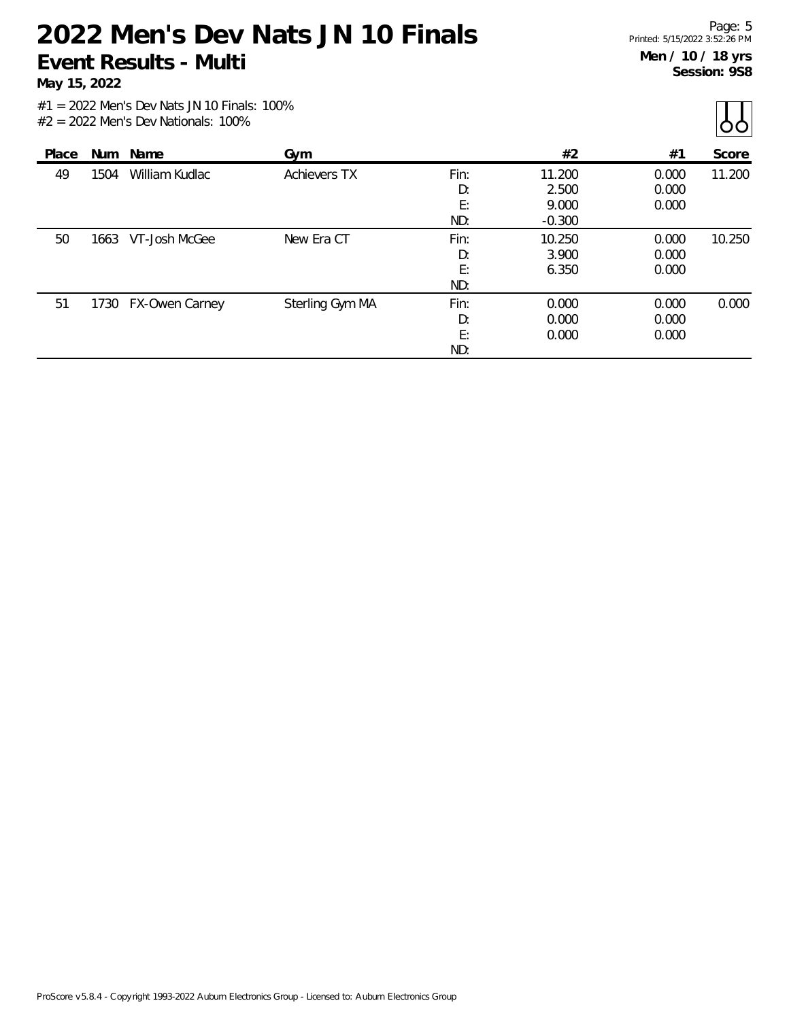**May 15, 2022**

 $\prod_{\Delta}$ 

|       |      |                |                     |      |          |       | $\sim$ $\sim$ $\prime$ |
|-------|------|----------------|---------------------|------|----------|-------|------------------------|
| Place | Num  | Name           | Gym                 |      | #2       | #1    | Score                  |
| 49    | 1504 | William Kudlac | <b>Achievers TX</b> | Fin: | 11.200   | 0.000 | 11.200                 |
|       |      |                |                     | D:   | 2.500    | 0.000 |                        |
|       |      |                |                     | E:   | 9.000    | 0.000 |                        |
|       |      |                |                     | ND:  | $-0.300$ |       |                        |
| 50    | 1663 | VT-Josh McGee  | New Era CT          | Fin: | 10.250   | 0.000 | 10.250                 |
|       |      |                |                     | D:   | 3.900    | 0.000 |                        |
|       |      |                |                     | E:   | 6.350    | 0.000 |                        |
|       |      |                |                     | ND:  |          |       |                        |
| 51    | 1730 | FX-Owen Carney | Sterling Gym MA     | Fin: | 0.000    | 0.000 | 0.000                  |
|       |      |                |                     | D:   | 0.000    | 0.000 |                        |
|       |      |                |                     | E:   | 0.000    | 0.000 |                        |
|       |      |                |                     | ND:  |          |       |                        |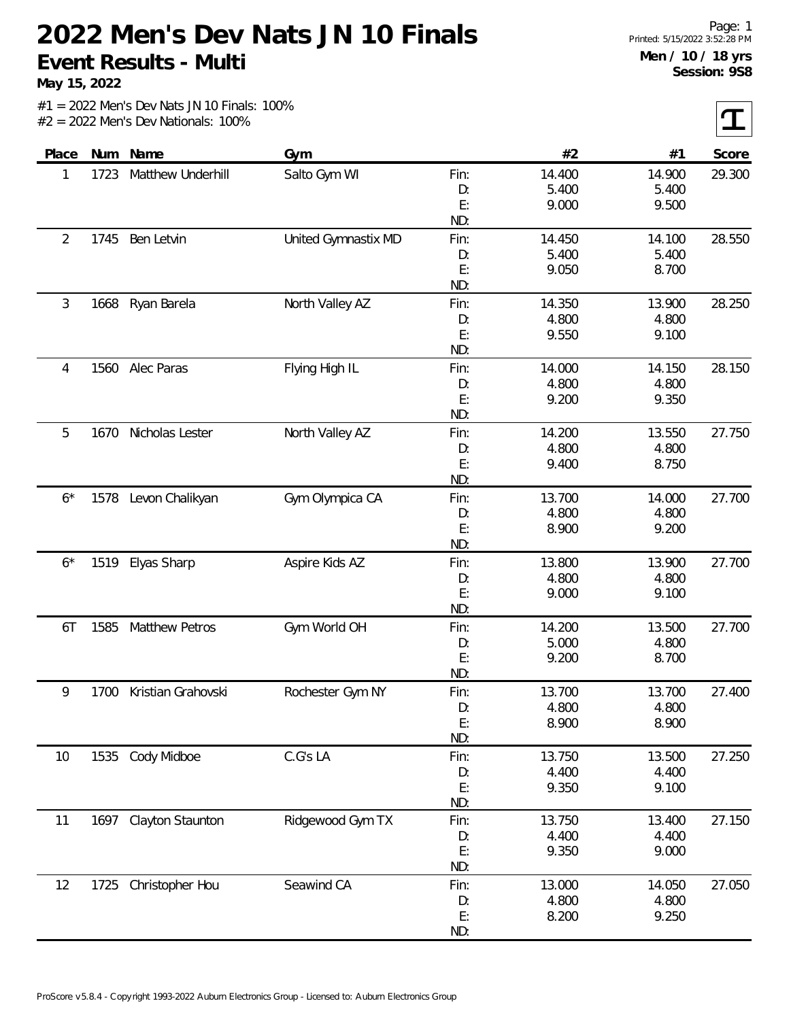**May 15, 2022**

 $|\mathbf{T}|$ 

| Place          |      | Num Name           | Gym                 |      | #2     | #1     | Score  |
|----------------|------|--------------------|---------------------|------|--------|--------|--------|
| 1              | 1723 | Matthew Underhill  | Salto Gym WI        | Fin: | 14.400 | 14.900 | 29.300 |
|                |      |                    |                     | D:   | 5.400  | 5.400  |        |
|                |      |                    |                     | E:   | 9.000  | 9.500  |        |
|                |      |                    |                     | ND:  |        |        |        |
| $\overline{2}$ | 1745 | Ben Letvin         | United Gymnastix MD | Fin: | 14.450 | 14.100 | 28.550 |
|                |      |                    |                     | D:   | 5.400  | 5.400  |        |
|                |      |                    |                     | E:   | 9.050  | 8.700  |        |
|                |      |                    |                     | ND:  |        |        |        |
| 3              | 1668 | Ryan Barela        | North Valley AZ     | Fin: | 14.350 | 13.900 | 28.250 |
|                |      |                    |                     | D:   | 4.800  | 4.800  |        |
|                |      |                    |                     | E:   | 9.550  | 9.100  |        |
|                |      |                    |                     | ND:  |        |        |        |
| 4              |      | 1560 Alec Paras    | Flying High IL      | Fin: | 14.000 | 14.150 | 28.150 |
|                |      |                    |                     | D:   | 4.800  | 4.800  |        |
|                |      |                    |                     | E:   | 9.200  | 9.350  |        |
|                |      |                    |                     | ND:  |        |        |        |
| 5              | 1670 | Nicholas Lester    | North Valley AZ     | Fin: | 14.200 | 13.550 | 27.750 |
|                |      |                    |                     | D:   | 4.800  | 4.800  |        |
|                |      |                    |                     | E:   | 9.400  | 8.750  |        |
|                |      |                    |                     | ND:  |        |        |        |
| $6*$           | 1578 | Levon Chalikyan    | Gym Olympica CA     | Fin: | 13.700 | 14.000 | 27.700 |
|                |      |                    |                     | D:   | 4.800  | 4.800  |        |
|                |      |                    |                     | E:   | 8.900  | 9.200  |        |
|                |      |                    |                     | ND:  |        |        |        |
| $6*$           | 1519 | Elyas Sharp        | Aspire Kids AZ      | Fin: | 13.800 | 13.900 | 27.700 |
|                |      |                    |                     | D:   | 4.800  | 4.800  |        |
|                |      |                    |                     | E:   | 9.000  | 9.100  |        |
|                |      |                    |                     | ND:  |        |        |        |
| 6T             | 1585 | Matthew Petros     | Gym World OH        | Fin: | 14.200 | 13.500 | 27.700 |
|                |      |                    |                     | D:   | 5.000  | 4.800  |        |
|                |      |                    |                     | E:   | 9.200  | 8.700  |        |
|                |      |                    |                     | ND:  |        |        |        |
| 9              | 1700 | Kristian Grahovski | Rochester Gym NY    | Fin: | 13.700 | 13.700 | 27.400 |
|                |      |                    |                     | D:   | 4.800  | 4.800  |        |
|                |      |                    |                     | E:   | 8.900  | 8.900  |        |
|                |      |                    |                     | ND:  |        |        |        |
| 10             |      | 1535 Cody Midboe   | C.G's LA            | Fin: | 13.750 | 13.500 | 27.250 |
|                |      |                    |                     | D:   | 4.400  | 4.400  |        |
|                |      |                    |                     | E:   | 9.350  | 9.100  |        |
|                |      |                    |                     | ND:  |        |        |        |
| 11             | 1697 | Clayton Staunton   | Ridgewood Gym TX    | Fin: | 13.750 | 13.400 | 27.150 |
|                |      |                    |                     | D:   | 4.400  | 4.400  |        |
|                |      |                    |                     | E:   | 9.350  | 9.000  |        |
|                |      |                    |                     | ND:  |        |        |        |
| 12             | 1725 | Christopher Hou    | Seawind CA          | Fin: | 13.000 | 14.050 | 27.050 |
|                |      |                    |                     | D:   | 4.800  | 4.800  |        |
|                |      |                    |                     | E:   | 8.200  | 9.250  |        |
|                |      |                    |                     | ND:  |        |        |        |
|                |      |                    |                     |      |        |        |        |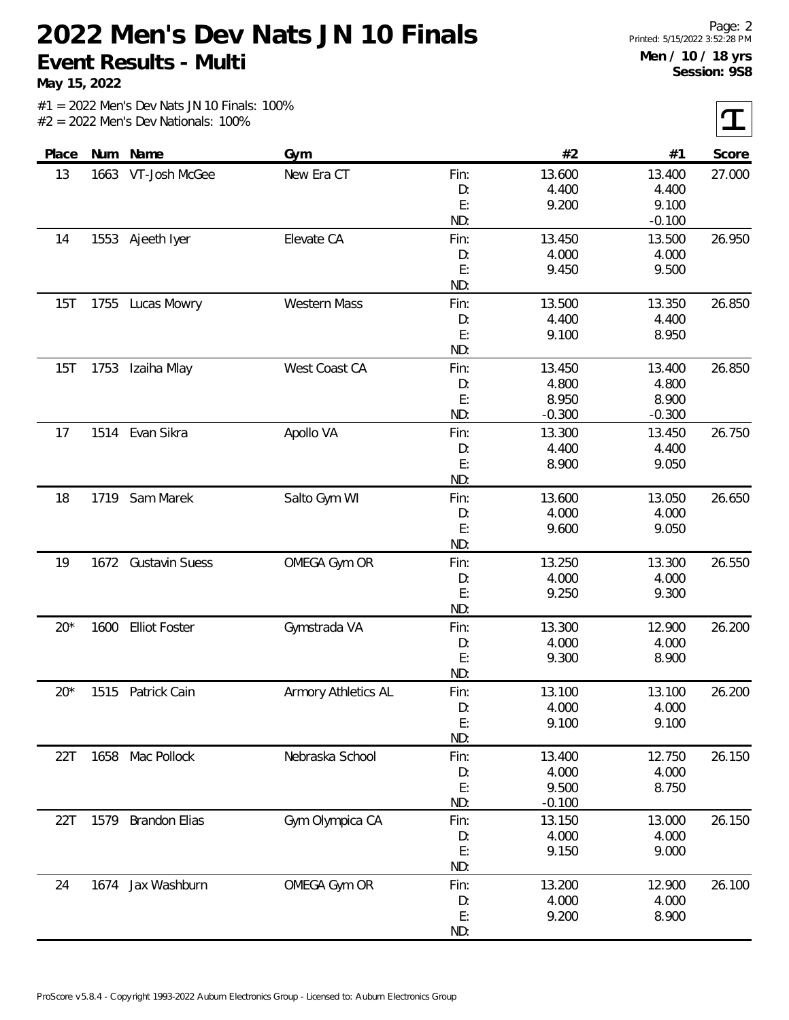**May 15, 2022**

 $|\mathbf{T}|$ 

| Place | Num  | Name                 | Gym                 |      | #2       | #1       | Score  |
|-------|------|----------------------|---------------------|------|----------|----------|--------|
| 13    | 1663 | VT-Josh McGee        | New Era CT          | Fin: | 13.600   | 13.400   | 27.000 |
|       |      |                      |                     | D:   | 4.400    | 4.400    |        |
|       |      |                      |                     | E:   | 9.200    | 9.100    |        |
|       |      |                      |                     | ND:  |          | $-0.100$ |        |
| 14    |      | 1553 Ajeeth Iyer     | Elevate CA          | Fin: | 13.450   | 13.500   | 26.950 |
|       |      |                      |                     | D:   | 4.000    | 4.000    |        |
|       |      |                      |                     | E:   | 9.450    | 9.500    |        |
|       |      |                      |                     | ND:  |          |          |        |
| 15T   | 1755 | Lucas Mowry          | <b>Western Mass</b> | Fin: | 13.500   | 13.350   | 26.850 |
|       |      |                      |                     | D:   | 4.400    | 4.400    |        |
|       |      |                      |                     | E:   | 9.100    | 8.950    |        |
|       |      |                      |                     | ND:  |          |          |        |
| 15T   | 1753 | Izaiha Mlay          | West Coast CA       | Fin: | 13.450   | 13.400   | 26.850 |
|       |      |                      |                     | D:   | 4.800    | 4.800    |        |
|       |      |                      |                     | E:   | 8.950    | 8.900    |        |
|       |      |                      |                     | ND:  | $-0.300$ | $-0.300$ |        |
| 17    |      | 1514 Evan Sikra      | Apollo VA           | Fin: | 13.300   | 13.450   | 26.750 |
|       |      |                      |                     | D:   | 4.400    | 4.400    |        |
|       |      |                      |                     | E:   | 8.900    | 9.050    |        |
|       |      |                      |                     | ND:  |          |          |        |
| 18    |      | 1719 Sam Marek       | Salto Gym WI        | Fin: | 13.600   | 13.050   | 26.650 |
|       |      |                      |                     | D:   | 4.000    | 4.000    |        |
|       |      |                      |                     | E:   | 9.600    | 9.050    |        |
|       |      |                      |                     | ND:  |          |          |        |
| 19    |      | 1672 Gustavin Suess  | OMEGA Gym OR        | Fin: | 13.250   | 13.300   | 26.550 |
|       |      |                      |                     | D:   | 4.000    | 4.000    |        |
|       |      |                      |                     | E:   | 9.250    | 9.300    |        |
|       |      |                      |                     | ND:  |          |          |        |
| $20*$ | 1600 | <b>Elliot Foster</b> | Gymstrada VA        | Fin: | 13.300   | 12.900   | 26.200 |
|       |      |                      |                     | D:   | 4.000    | 4.000    |        |
|       |      |                      |                     | E:   | 9.300    | 8.900    |        |
|       |      |                      |                     | ND:  |          |          |        |
| $20*$ | 1515 | Patrick Cain         | Armory Athletics AL | Fin: | 13.100   | 13.100   | 26.200 |
|       |      |                      |                     | D:   | 4.000    | 4.000    |        |
|       |      |                      |                     | E:   | 9.100    | 9.100    |        |
|       |      |                      |                     | ND:  |          |          |        |
| 22T   |      | 1658 Mac Pollock     | Nebraska School     | Fin: | 13.400   | 12.750   | 26.150 |
|       |      |                      |                     | D:   | 4.000    | 4.000    |        |
|       |      |                      |                     | E:   | 9.500    | 8.750    |        |
|       |      |                      |                     | ND:  | $-0.100$ |          |        |
| 22T   | 1579 | <b>Brandon Elias</b> | Gym Olympica CA     | Fin: | 13.150   | 13.000   | 26.150 |
|       |      |                      |                     | D:   | 4.000    | 4.000    |        |
|       |      |                      |                     | E:   | 9.150    | 9.000    |        |
|       |      |                      |                     | ND:  |          |          |        |
| 24    | 1674 | Jax Washburn         | OMEGA Gym OR        | Fin: | 13.200   | 12.900   | 26.100 |
|       |      |                      |                     | D:   | 4.000    | 4.000    |        |
|       |      |                      |                     | E:   | 9.200    | 8.900    |        |
|       |      |                      |                     | ND:  |          |          |        |
|       |      |                      |                     |      |          |          |        |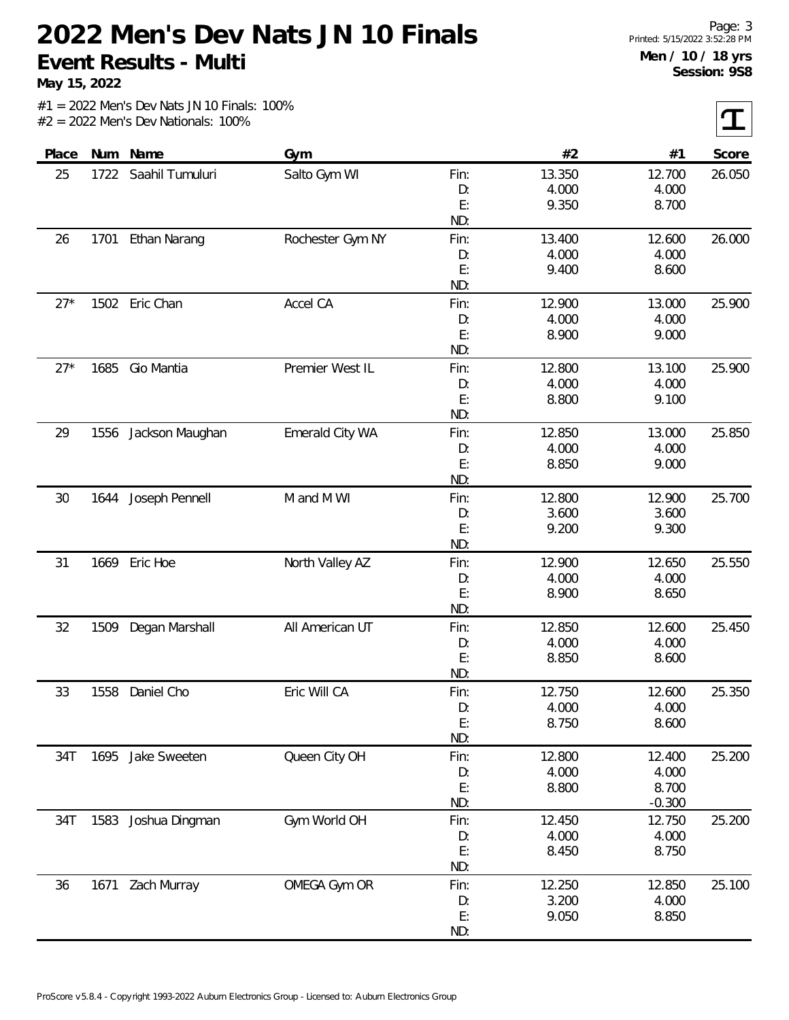**May 15, 2022**

 $|\mathbf{T}|$ 

| Place |      | Num Name          | Gym              |      | #2     | #1       | Score  |
|-------|------|-------------------|------------------|------|--------|----------|--------|
| 25    | 1722 | Saahil Tumuluri   | Salto Gym WI     | Fin: | 13.350 | 12.700   | 26.050 |
|       |      |                   |                  | D:   | 4.000  | 4.000    |        |
|       |      |                   |                  | E:   | 9.350  | 8.700    |        |
|       |      |                   |                  | ND:  |        |          |        |
| 26    | 1701 | Ethan Narang      | Rochester Gym NY | Fin: | 13.400 | 12.600   | 26.000 |
|       |      |                   |                  | D:   | 4.000  | 4.000    |        |
|       |      |                   |                  | E:   | 9.400  | 8.600    |        |
|       |      |                   |                  | ND:  |        |          |        |
| $27*$ | 1502 | Eric Chan         | Accel CA         | Fin: | 12.900 | 13.000   | 25.900 |
|       |      |                   |                  | D:   | 4.000  | 4.000    |        |
|       |      |                   |                  | E:   | 8.900  | 9.000    |        |
|       |      |                   |                  | ND:  |        |          |        |
| $27*$ | 1685 | Gio Mantia        | Premier West IL  | Fin: | 12.800 | 13.100   | 25.900 |
|       |      |                   |                  | D:   | 4.000  | 4.000    |        |
|       |      |                   |                  | E:   | 8.800  | 9.100    |        |
|       |      |                   |                  | ND:  |        |          |        |
| 29    | 1556 | Jackson Maughan   | Emerald City WA  | Fin: | 12.850 | 13.000   | 25.850 |
|       |      |                   |                  | D:   | 4.000  | 4.000    |        |
|       |      |                   |                  | E:   | 8.850  | 9.000    |        |
|       |      |                   |                  | ND:  |        |          |        |
| 30    | 1644 | Joseph Pennell    | M and M WI       | Fin: | 12.800 | 12.900   | 25.700 |
|       |      |                   |                  | D:   | 3.600  | 3.600    |        |
|       |      |                   |                  | E:   | 9.200  | 9.300    |        |
|       |      |                   |                  | ND:  |        |          |        |
| 31    | 1669 | Eric Hoe          | North Valley AZ  | Fin: | 12.900 | 12.650   | 25.550 |
|       |      |                   |                  | D:   | 4.000  | 4.000    |        |
|       |      |                   |                  | E:   | 8.900  | 8.650    |        |
|       |      |                   |                  | ND:  |        |          |        |
| 32    | 1509 | Degan Marshall    | All American UT  | Fin: | 12.850 | 12.600   | 25.450 |
|       |      |                   |                  | D:   | 4.000  | 4.000    |        |
|       |      |                   |                  | E:   | 8.850  | 8.600    |        |
|       |      |                   |                  | ND:  |        |          |        |
| 33    | 1558 | Daniel Cho        | Eric Will CA     | Fin: | 12.750 | 12.600   | 25.350 |
|       |      |                   |                  | D:   | 4.000  | 4.000    |        |
|       |      |                   |                  | E:   | 8.750  | 8.600    |        |
|       |      |                   |                  | ND:  |        |          |        |
| 34T   |      | 1695 Jake Sweeten | Queen City OH    | Fin: | 12.800 | 12.400   | 25.200 |
|       |      |                   |                  | D:   | 4.000  | 4.000    |        |
|       |      |                   |                  | E:   | 8.800  | 8.700    |        |
|       |      |                   |                  | ND:  |        | $-0.300$ |        |
| 34T   | 1583 | Joshua Dingman    | Gym World OH     | Fin: | 12.450 | 12.750   | 25.200 |
|       |      |                   |                  | D:   | 4.000  | 4.000    |        |
|       |      |                   |                  | E:   | 8.450  | 8.750    |        |
|       |      |                   |                  | ND:  |        |          |        |
| 36    |      | 1671 Zach Murray  | OMEGA Gym OR     | Fin: | 12.250 | 12.850   | 25.100 |
|       |      |                   |                  | D:   | 3.200  | 4.000    |        |
|       |      |                   |                  | E:   | 9.050  | 8.850    |        |
|       |      |                   |                  | ND:  |        |          |        |
|       |      |                   |                  |      |        |          |        |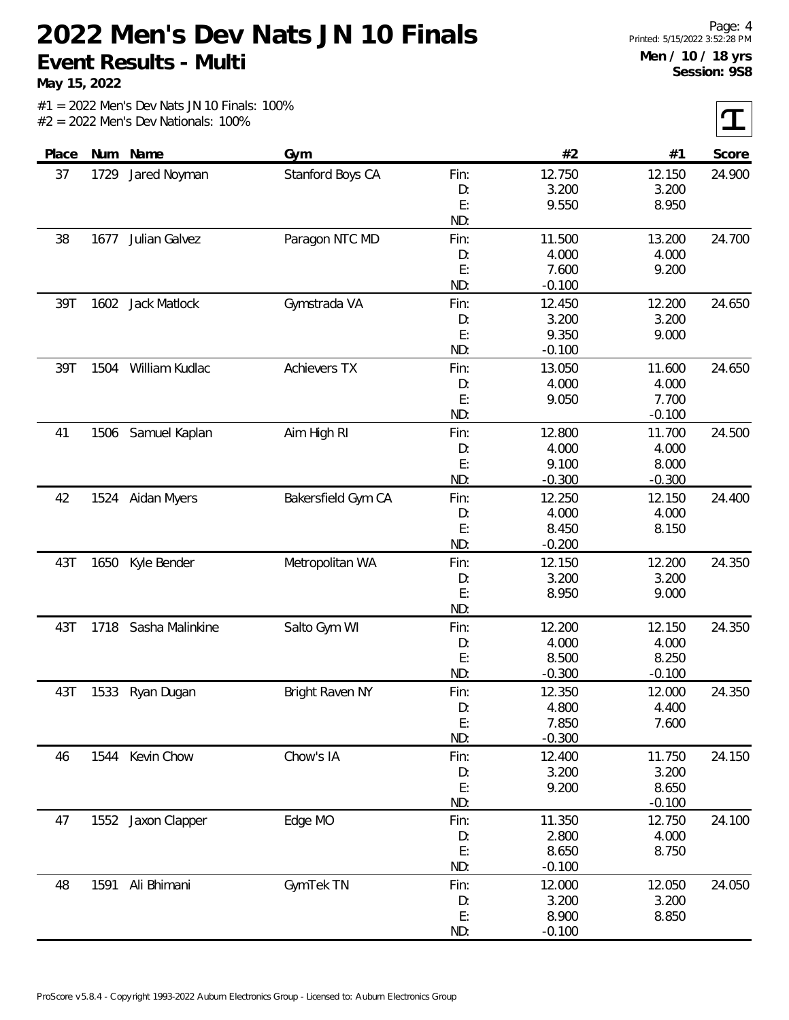**May 15, 2022**

 $|\mathbf{T}|$ 

| Score  | #1       | #2       |      | Gym                 | Num Name            |      | Place |
|--------|----------|----------|------|---------------------|---------------------|------|-------|
| 24.900 | 12.150   | 12.750   | Fin: | Stanford Boys CA    | Jared Noyman        | 1729 | 37    |
|        | 3.200    | 3.200    | D:   |                     |                     |      |       |
|        | 8.950    | 9.550    | E:   |                     |                     |      |       |
|        |          |          | ND:  |                     |                     |      |       |
| 24.700 | 13.200   | 11.500   | Fin: | Paragon NTC MD      | Julian Galvez       | 1677 | 38    |
|        | 4.000    | 4.000    | D:   |                     |                     |      |       |
|        | 9.200    | 7.600    | E:   |                     |                     |      |       |
|        |          | $-0.100$ | ND:  |                     |                     |      |       |
| 24.650 | 12.200   | 12.450   | Fin: | Gymstrada VA        | <b>Jack Matlock</b> | 1602 | 39T   |
|        | 3.200    | 3.200    | D:   |                     |                     |      |       |
|        | 9.000    | 9.350    | E:   |                     |                     |      |       |
|        |          | $-0.100$ | ND:  |                     |                     |      |       |
| 24.650 | 11.600   | 13.050   | Fin: | <b>Achievers TX</b> | William Kudlac      | 1504 | 39T   |
|        | 4.000    | 4.000    | D:   |                     |                     |      |       |
|        | 7.700    | 9.050    | E:   |                     |                     |      |       |
|        | $-0.100$ |          | ND:  |                     |                     |      |       |
| 24.500 | 11.700   | 12.800   | Fin: | Aim High RI         | Samuel Kaplan       | 1506 | 41    |
|        | 4.000    | 4.000    | D:   |                     |                     |      |       |
|        | 8.000    | 9.100    | E:   |                     |                     |      |       |
|        | $-0.300$ | $-0.300$ | ND:  |                     |                     |      |       |
| 24.400 | 12.150   | 12.250   | Fin: | Bakersfield Gym CA  | 1524 Aidan Myers    |      | 42    |
|        | 4.000    | 4.000    | D:   |                     |                     |      |       |
|        | 8.150    | 8.450    | E:   |                     |                     |      |       |
|        |          | $-0.200$ | ND:  |                     |                     |      |       |
| 24.350 | 12.200   | 12.150   | Fin: | Metropolitan WA     | Kyle Bender         | 1650 | 43T   |
|        | 3.200    | 3.200    | D:   |                     |                     |      |       |
|        | 9.000    | 8.950    | E:   |                     |                     |      |       |
|        |          |          | ND:  |                     |                     |      |       |
| 24.350 | 12.150   | 12.200   | Fin: | Salto Gym WI        | Sasha Malinkine     | 1718 | 43T   |
|        | 4.000    | 4.000    | D:   |                     |                     |      |       |
|        | 8.250    | 8.500    | E:   |                     |                     |      |       |
|        | $-0.100$ | $-0.300$ | ND:  |                     |                     |      |       |
| 24.350 | 12.000   | 12.350   | Fin: | Bright Raven NY     | Ryan Dugan          | 1533 | 43T   |
|        | 4.400    | 4.800    | D:   |                     |                     |      |       |
|        | 7.600    | 7.850    | E:   |                     |                     |      |       |
|        |          | $-0.300$ | ND:  |                     |                     |      |       |
| 24.150 | 11.750   | 12.400   | Fin: | Chow's IA           | Kevin Chow          | 1544 | 46    |
|        | 3.200    | 3.200    | D:   |                     |                     |      |       |
|        | 8.650    | 9.200    | E:   |                     |                     |      |       |
|        | $-0.100$ |          | ND:  |                     |                     |      |       |
| 24.100 | 12.750   | 11.350   | Fin: | Edge MO             | 1552 Jaxon Clapper  |      | 47    |
|        | 4.000    | 2.800    | D:   |                     |                     |      |       |
|        | 8.750    | 8.650    | E:   |                     |                     |      |       |
|        |          | $-0.100$ | ND:  |                     |                     |      |       |
| 24.050 | 12.050   | 12.000   | Fin: | GymTek TN           | Ali Bhimani         | 1591 | 48    |
|        | 3.200    | 3.200    | D:   |                     |                     |      |       |
|        | 8.850    | 8.900    | E:   |                     |                     |      |       |
|        |          | $-0.100$ | ND:  |                     |                     |      |       |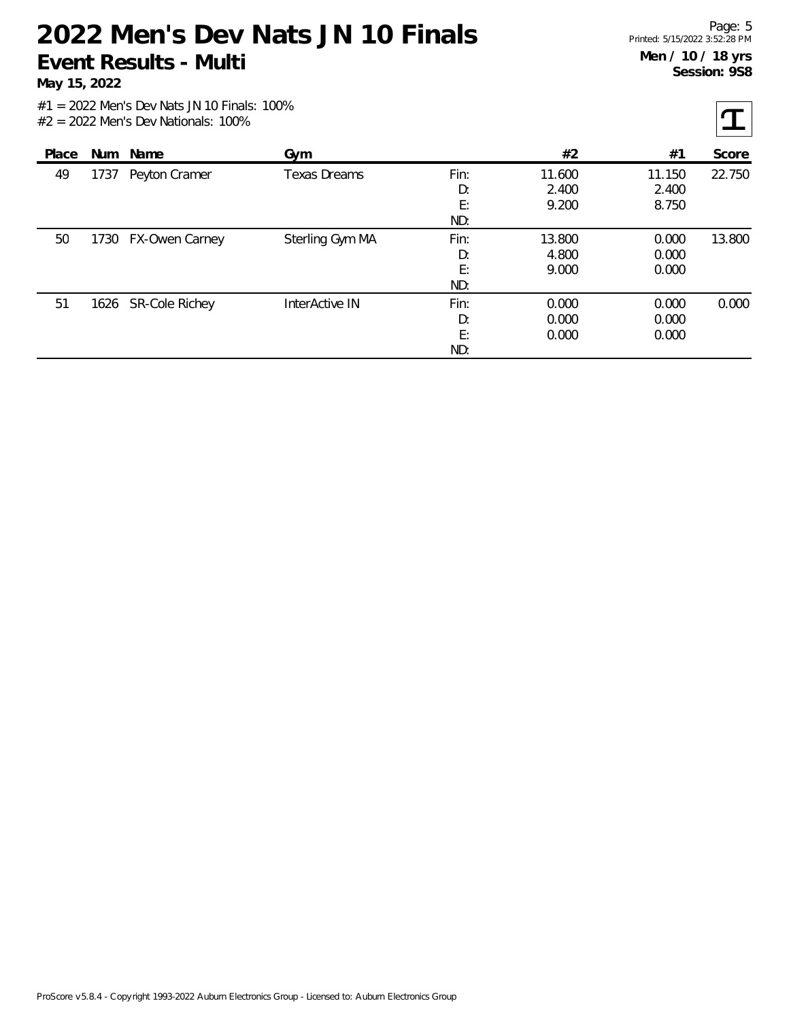**May 15, 2022**

 $|\mathbf{T}|$ 

| Place |      | Num Name            | Gym                 |                         | #2                       | #1                       | Score  |
|-------|------|---------------------|---------------------|-------------------------|--------------------------|--------------------------|--------|
| 49    | 1737 | Peyton Cramer       | <b>Texas Dreams</b> | Fin:<br>D:<br>E:<br>ND: | 11.600<br>2.400<br>9.200 | 11.150<br>2.400<br>8.750 | 22.750 |
| 50    | 1730 | FX-Owen Carney      | Sterling Gym MA     | Fin:<br>D:<br>E:<br>ND: | 13.800<br>4.800<br>9.000 | 0.000<br>0.000<br>0.000  | 13.800 |
| 51    |      | 1626 SR-Cole Richey | InterActive IN      | Fin:<br>D:<br>E:<br>ND: | 0.000<br>0.000<br>0.000  | 0.000<br>0.000<br>0.000  | 0.000  |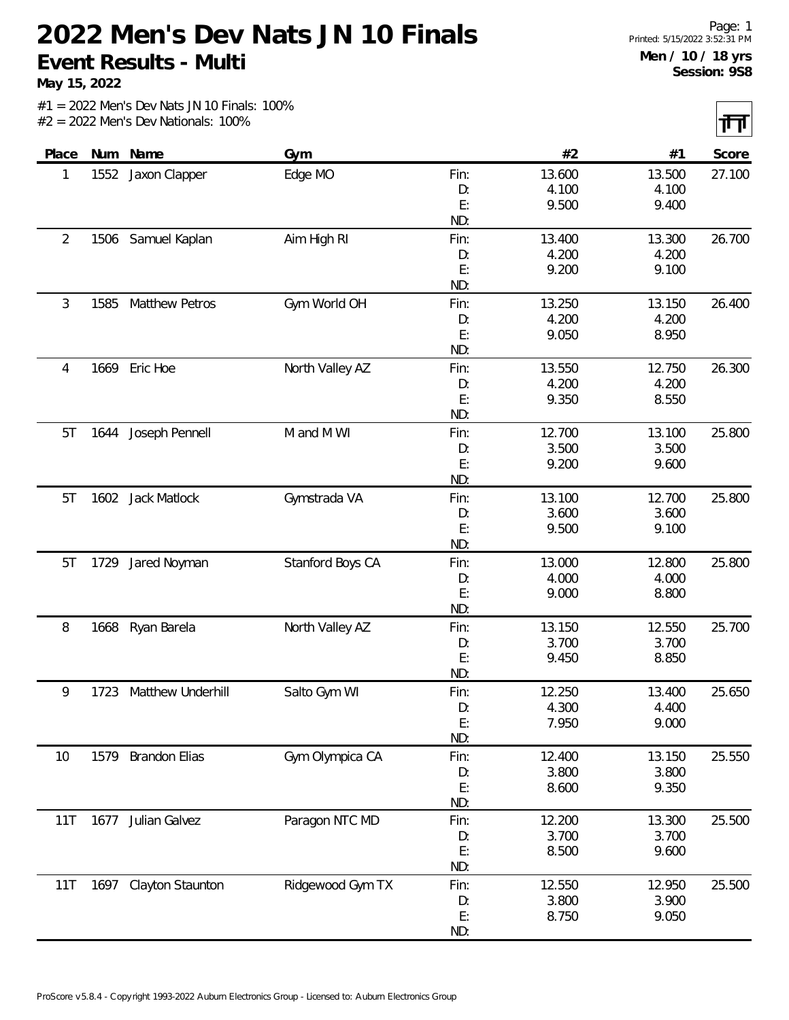**May 15, 2022**

 $|\mathbf{H}|$ 

| Place |      | Num Name              | Gym              |      | #2     | #1     | Score  |
|-------|------|-----------------------|------------------|------|--------|--------|--------|
| 1     | 1552 | Jaxon Clapper         | Edge MO          | Fin: | 13.600 | 13.500 | 27.100 |
|       |      |                       |                  | D:   | 4.100  | 4.100  |        |
|       |      |                       |                  | E:   | 9.500  | 9.400  |        |
|       |      |                       |                  | ND:  |        |        |        |
| 2     |      | 1506 Samuel Kaplan    | Aim High RI      | Fin: | 13.400 | 13.300 | 26.700 |
|       |      |                       |                  | D:   | 4.200  | 4.200  |        |
|       |      |                       |                  | E:   | 9.200  | 9.100  |        |
|       |      |                       |                  | ND:  |        |        |        |
| 3     | 1585 | Matthew Petros        | Gym World OH     | Fin: | 13.250 | 13.150 | 26.400 |
|       |      |                       |                  | D:   | 4.200  | 4.200  |        |
|       |      |                       |                  | E:   | 9.050  | 8.950  |        |
|       |      |                       |                  | ND:  |        |        |        |
| 4     |      | 1669 Eric Hoe         | North Valley AZ  | Fin: | 13.550 | 12.750 | 26.300 |
|       |      |                       |                  | D:   | 4.200  | 4.200  |        |
|       |      |                       |                  | E:   | 9.350  | 8.550  |        |
|       |      |                       |                  | ND:  |        |        |        |
| 5T    | 1644 | Joseph Pennell        | M and M WI       | Fin: | 12.700 | 13.100 | 25.800 |
|       |      |                       |                  | D:   | 3.500  | 3.500  |        |
|       |      |                       |                  | E:   | 9.200  | 9.600  |        |
|       |      |                       |                  | ND:  |        |        |        |
| 5T    |      | 1602 Jack Matlock     | Gymstrada VA     | Fin: | 13.100 | 12.700 | 25.800 |
|       |      |                       |                  | D:   | 3.600  | 3.600  |        |
|       |      |                       |                  | E:   | 9.500  | 9.100  |        |
|       |      |                       |                  | ND:  |        |        |        |
| 5T    | 1729 | Jared Noyman          | Stanford Boys CA | Fin: | 13.000 | 12.800 | 25.800 |
|       |      |                       |                  | D:   | 4.000  | 4.000  |        |
|       |      |                       |                  | E:   | 9.000  | 8.800  |        |
|       |      |                       |                  | ND:  |        |        |        |
| 8     | 1668 | Ryan Barela           | North Valley AZ  | Fin: | 13.150 | 12.550 | 25.700 |
|       |      |                       |                  | D:   | 3.700  | 3.700  |        |
|       |      |                       |                  | E:   | 9.450  | 8.850  |        |
|       |      |                       |                  | ND:  |        |        |        |
| 9     | 1723 | Matthew Underhill     | Salto Gym WI     | Fin: | 12.250 | 13.400 | 25.650 |
|       |      |                       |                  | D:   | 4.300  | 4.400  |        |
|       |      |                       |                  | E:   | 7.950  | 9.000  |        |
|       |      |                       |                  | ND:  |        |        |        |
| 10    | 1579 | <b>Brandon Elias</b>  | Gym Olympica CA  | Fin: | 12.400 | 13.150 | 25.550 |
|       |      |                       |                  | D:   | 3.800  | 3.800  |        |
|       |      |                       |                  | E:   | 8.600  | 9.350  |        |
|       |      |                       |                  | ND:  |        |        |        |
| 11T   | 1677 | Julian Galvez         | Paragon NTC MD   | Fin: | 12.200 | 13.300 | 25.500 |
|       |      |                       |                  | D:   | 3.700  | 3.700  |        |
|       |      |                       |                  | E:   | 8.500  | 9.600  |        |
|       |      |                       |                  | ND:  |        |        |        |
| 11T   |      | 1697 Clayton Staunton | Ridgewood Gym TX | Fin: | 12.550 | 12.950 | 25.500 |
|       |      |                       |                  | D:   | 3.800  | 3.900  |        |
|       |      |                       |                  | E:   | 8.750  | 9.050  |        |
|       |      |                       |                  | ND:  |        |        |        |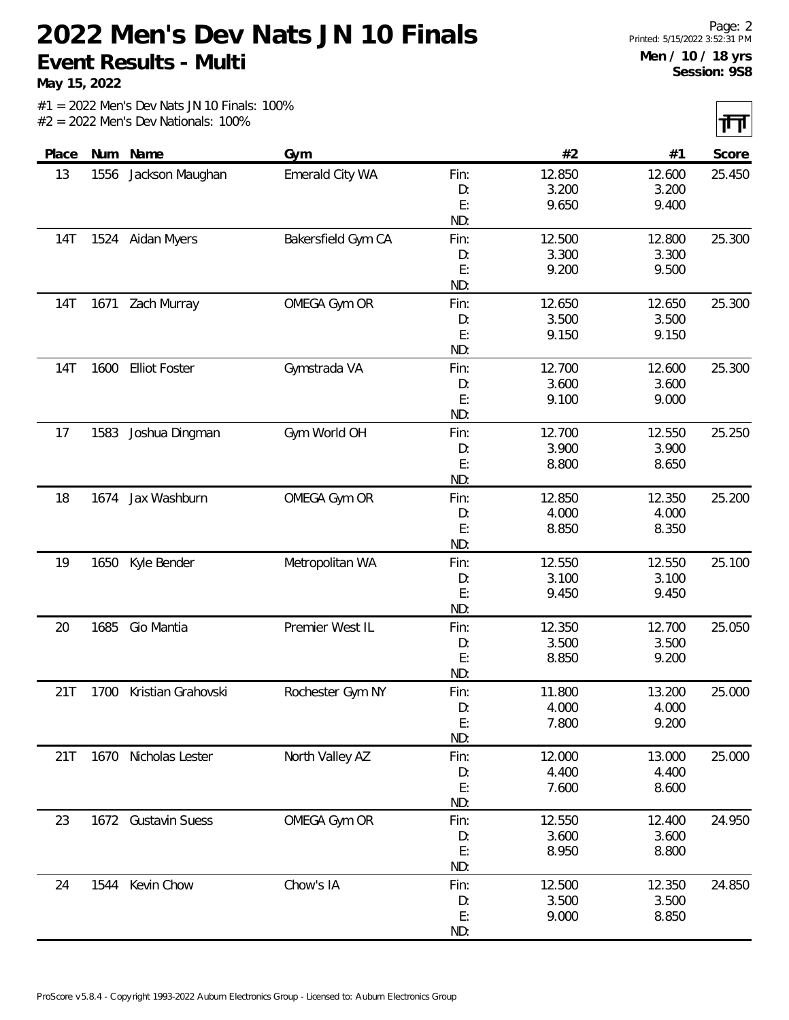**May 15, 2022**

 $|\mathbf{H}|$ 

|       |      |                      |                    |           |                 |                 | $\sim$ $\sim$ |
|-------|------|----------------------|--------------------|-----------|-----------------|-----------------|---------------|
| Place | Num  | Name                 | Gym                |           | #2              | #1              | Score         |
| 13    | 1556 | Jackson Maughan      | Emerald City WA    | Fin:      | 12.850          | 12.600          | 25.450        |
|       |      |                      |                    | D:        | 3.200           | 3.200           |               |
|       |      |                      |                    | E:        | 9.650           | 9.400           |               |
|       |      |                      |                    | ND:       |                 |                 |               |
| 14T   |      | 1524 Aidan Myers     | Bakersfield Gym CA | Fin:      | 12.500          | 12.800          | 25.300        |
|       |      |                      |                    | D:        | 3.300           | 3.300           |               |
|       |      |                      |                    | E:        | 9.200           | 9.500           |               |
|       |      |                      |                    | ND:       |                 |                 |               |
| 14T   | 1671 | Zach Murray          | OMEGA Gym OR       | Fin:      | 12.650          | 12.650          | 25.300        |
|       |      |                      |                    | D:        | 3.500           | 3.500           |               |
|       |      |                      |                    | E:        | 9.150           | 9.150           |               |
|       |      |                      |                    | ND:       |                 |                 |               |
| 14T   | 1600 | <b>Elliot Foster</b> | Gymstrada VA       | Fin:      | 12.700          | 12.600          | 25.300        |
|       |      |                      |                    | D:        | 3.600           | 3.600           |               |
|       |      |                      |                    | E:        | 9.100           | 9.000           |               |
|       |      |                      |                    | ND:       |                 |                 |               |
| 17    | 1583 | Joshua Dingman       | Gym World OH       | Fin:      | 12.700          | 12.550          | 25.250        |
|       |      |                      |                    | D:        | 3.900           | 3.900           |               |
|       |      |                      |                    | E:        | 8.800           | 8.650           |               |
|       |      |                      |                    | ND:       |                 |                 |               |
| 18    | 1674 | Jax Washburn         | OMEGA Gym OR       | Fin:      | 12.850          | 12.350          | 25.200        |
|       |      |                      |                    | D:        | 4.000           | 4.000           |               |
|       |      |                      |                    | E:        | 8.850           | 8.350           |               |
|       |      |                      |                    | ND:       |                 |                 |               |
| 19    | 1650 | Kyle Bender          | Metropolitan WA    | Fin:      | 12.550          | 12.550          | 25.100        |
|       |      |                      |                    | D:        | 3.100           | 3.100           |               |
|       |      |                      |                    | E:<br>ND: | 9.450           | 9.450           |               |
|       |      |                      |                    |           |                 |                 |               |
| 20    | 1685 | Gio Mantia           | Premier West IL    | Fin:      | 12.350<br>3.500 | 12.700<br>3.500 | 25.050        |
|       |      |                      |                    | D:<br>E:  | 8.850           | 9.200           |               |
|       |      |                      |                    | ND:       |                 |                 |               |
| 21T   | 1700 | Kristian Grahovski   | Rochester Gym NY   | Fin:      | 11.800          | 13.200          | 25.000        |
|       |      |                      |                    | D:        | 4.000           | 4.000           |               |
|       |      |                      |                    | E:        | 7.800           | 9.200           |               |
|       |      |                      |                    | ND:       |                 |                 |               |
| 21T   |      | 1670 Nicholas Lester | North Valley AZ    | Fin:      | 12.000          | 13.000          | 25.000        |
|       |      |                      |                    | D:        | 4.400           | 4.400           |               |
|       |      |                      |                    | E:        | 7.600           | 8.600           |               |
|       |      |                      |                    | ND:       |                 |                 |               |
| 23    |      | 1672 Gustavin Suess  | OMEGA Gym OR       | Fin:      | 12.550          | 12.400          | 24.950        |
|       |      |                      |                    | D:        | 3.600           | 3.600           |               |
|       |      |                      |                    | E:        | 8.950           | 8.800           |               |
|       |      |                      |                    | ND:       |                 |                 |               |
| 24    | 1544 | Kevin Chow           | Chow's IA          | Fin:      | 12.500          | 12.350          | 24.850        |
|       |      |                      |                    | D:        | 3.500           | 3.500           |               |
|       |      |                      |                    | E:        | 9.000           | 8.850           |               |
|       |      |                      |                    | ND:       |                 |                 |               |
|       |      |                      |                    |           |                 |                 |               |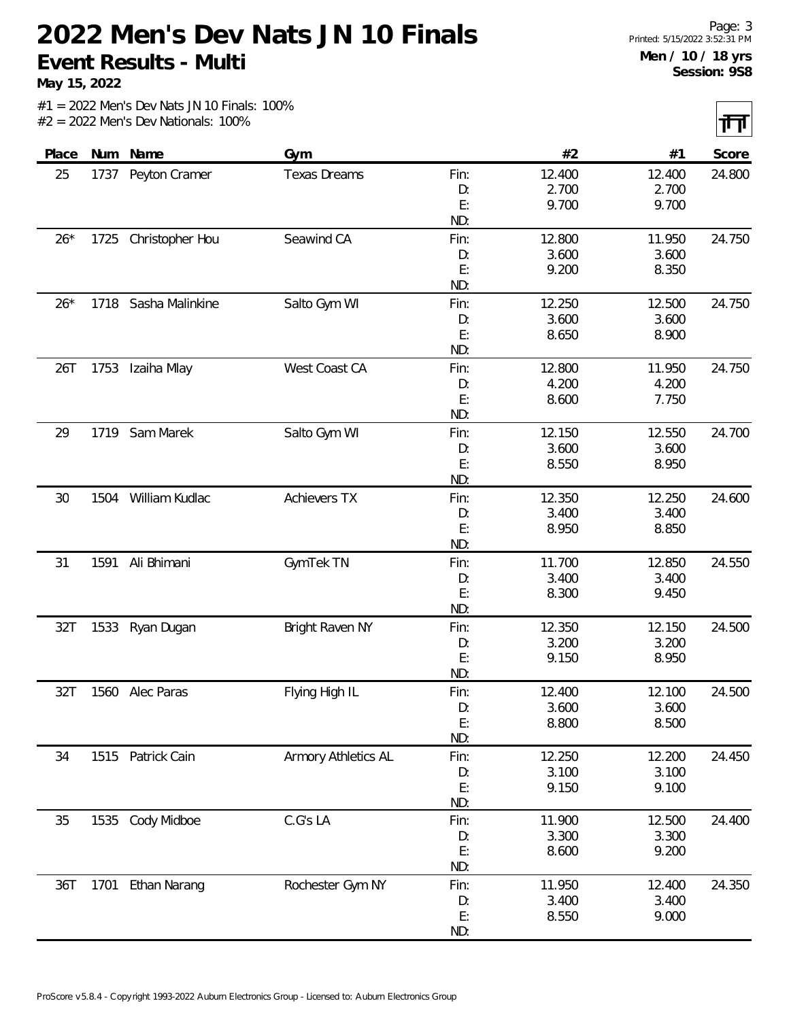**May 15, 2022**

 $|\mathbf{H}|$ 

|       |      |                      |                     |      |        |        | <b>TERMIN</b> |
|-------|------|----------------------|---------------------|------|--------|--------|---------------|
| Place |      | Num Name             | Gym                 |      | #2     | #1     | Score         |
| 25    | 1737 | Peyton Cramer        | <b>Texas Dreams</b> | Fin: | 12.400 | 12.400 | 24.800        |
|       |      |                      |                     | D:   | 2.700  | 2.700  |               |
|       |      |                      |                     | E:   | 9.700  | 9.700  |               |
|       |      |                      |                     | ND:  |        |        |               |
| $26*$ | 1725 | Christopher Hou      | Seawind CA          | Fin: | 12.800 | 11.950 | 24.750        |
|       |      |                      |                     | D:   | 3.600  | 3.600  |               |
|       |      |                      |                     | E:   | 9.200  | 8.350  |               |
|       |      |                      |                     | ND:  |        |        |               |
| $26*$ |      | 1718 Sasha Malinkine | Salto Gym WI        | Fin: | 12.250 | 12.500 | 24.750        |
|       |      |                      |                     | D:   | 3.600  | 3.600  |               |
|       |      |                      |                     | E:   | 8.650  | 8.900  |               |
|       |      |                      |                     | ND:  |        |        |               |
| 26T   | 1753 | Izaiha Mlay          | West Coast CA       | Fin: | 12.800 | 11.950 | 24.750        |
|       |      |                      |                     | D:   | 4.200  | 4.200  |               |
|       |      |                      |                     | E:   | 8.600  | 7.750  |               |
|       |      |                      |                     | ND:  |        |        |               |
| 29    |      | 1719 Sam Marek       | Salto Gym WI        | Fin: | 12.150 | 12.550 | 24.700        |
|       |      |                      |                     | D:   | 3.600  | 3.600  |               |
|       |      |                      |                     | E:   | 8.550  | 8.950  |               |
|       |      |                      |                     | ND:  |        |        |               |
| 30    |      | 1504 William Kudlac  | <b>Achievers TX</b> | Fin: | 12.350 | 12.250 | 24.600        |
|       |      |                      |                     | D:   | 3.400  | 3.400  |               |
|       |      |                      |                     | E:   | 8.950  | 8.850  |               |
|       |      |                      |                     | ND:  |        |        |               |
| 31    | 1591 | Ali Bhimani          | GymTek TN           | Fin: | 11.700 | 12.850 | 24.550        |
|       |      |                      |                     | D:   | 3.400  | 3.400  |               |
|       |      |                      |                     | E:   | 8.300  | 9.450  |               |
|       |      |                      |                     | ND:  |        |        |               |
| 32T   | 1533 | Ryan Dugan           | Bright Raven NY     | Fin: | 12.350 | 12.150 | 24.500        |
|       |      |                      |                     | D:   | 3.200  | 3.200  |               |
|       |      |                      |                     | E:   | 9.150  | 8.950  |               |
|       |      |                      |                     | ND:  |        |        |               |
| 32T   |      | 1560 Alec Paras      | Flying High IL      | Fin: | 12.400 | 12.100 | 24.500        |
|       |      |                      |                     | D:   | 3.600  | 3.600  |               |
|       |      |                      |                     | E:   | 8.800  | 8.500  |               |
|       |      |                      |                     | ND:  |        |        |               |
| 34    |      | 1515 Patrick Cain    | Armory Athletics AL | Fin: | 12.250 | 12.200 | 24.450        |
|       |      |                      |                     | D:   | 3.100  | 3.100  |               |
|       |      |                      |                     | E:   | 9.150  | 9.100  |               |
|       |      |                      |                     | ND:  |        |        |               |
| 35    | 1535 | Cody Midboe          | C.G's LA            | Fin: | 11.900 | 12.500 | 24.400        |
|       |      |                      |                     | D:   | 3.300  | 3.300  |               |
|       |      |                      |                     | E:   | 8.600  | 9.200  |               |
|       |      |                      |                     | ND:  |        |        |               |
| 36T   | 1701 | Ethan Narang         | Rochester Gym NY    | Fin: | 11.950 | 12.400 | 24.350        |
|       |      |                      |                     | D:   | 3.400  | 3.400  |               |
|       |      |                      |                     | E:   | 8.550  | 9.000  |               |
|       |      |                      |                     | ND:  |        |        |               |
|       |      |                      |                     |      |        |        |               |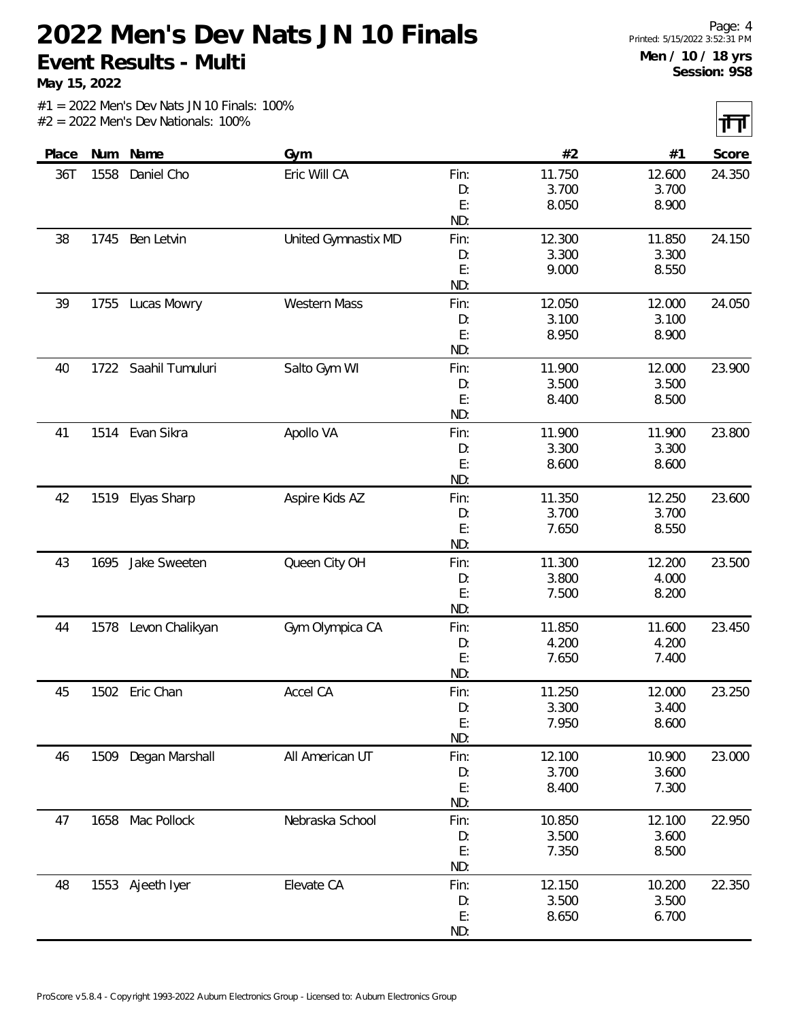**May 15, 2022**

 $|\mathbf{H}|$ 

|       |      |                      |                     |            |                |        | .      |
|-------|------|----------------------|---------------------|------------|----------------|--------|--------|
| Place | Num  | Name                 | Gym                 |            | #2             | #1     | Score  |
| 36T   | 1558 | Daniel Cho           | Eric Will CA        | Fin:       | 11.750         | 12.600 | 24.350 |
|       |      |                      |                     | D:         | 3.700          | 3.700  |        |
|       |      |                      |                     | E:         | 8.050          | 8.900  |        |
|       |      |                      |                     | ND:        |                |        |        |
| 38    | 1745 | Ben Letvin           | United Gymnastix MD | Fin:       | 12.300         | 11.850 | 24.150 |
|       |      |                      |                     | D:         | 3.300          | 3.300  |        |
|       |      |                      |                     | E:         | 9.000          | 8.550  |        |
|       |      |                      |                     | ND:        |                |        |        |
| 39    | 1755 | Lucas Mowry          | <b>Western Mass</b> | Fin:       | 12.050         | 12.000 | 24.050 |
|       |      |                      |                     | D:         | 3.100          | 3.100  |        |
|       |      |                      |                     | E:         | 8.950          | 8.900  |        |
|       |      |                      |                     | ND:        |                |        |        |
| 40    |      | 1722 Saahil Tumuluri | Salto Gym WI        | Fin:       | 11.900         | 12.000 | 23.900 |
|       |      |                      |                     | D:         | 3.500          | 3.500  |        |
|       |      |                      |                     | E:         | 8.400          | 8.500  |        |
|       |      |                      |                     | ND:        |                |        |        |
| 41    | 1514 | Evan Sikra           | Apollo VA           | Fin:       | 11.900         | 11.900 | 23.800 |
|       |      |                      |                     | D:         | 3.300          | 3.300  |        |
|       |      |                      |                     | E:         | 8.600          | 8.600  |        |
|       |      |                      |                     | ND:        |                |        |        |
| 42    | 1519 | Elyas Sharp          | Aspire Kids AZ      | Fin:       | 11.350         | 12.250 | 23.600 |
|       |      |                      |                     | D:         | 3.700          | 3.700  |        |
|       |      |                      |                     | E:         | 7.650          | 8.550  |        |
|       |      |                      |                     | ND:        |                |        |        |
| 43    | 1695 | Jake Sweeten         | Queen City OH       | Fin:       | 11.300         | 12.200 | 23.500 |
|       |      |                      |                     | D:         | 3.800          | 4.000  |        |
|       |      |                      |                     | E:         | 7.500          | 8.200  |        |
|       |      |                      |                     | ND:        |                |        |        |
| 44    | 1578 | Levon Chalikyan      | Gym Olympica CA     | Fin:       | 11.850         | 11.600 | 23.450 |
|       |      |                      |                     | D:         | 4.200          | 4.200  |        |
|       |      |                      |                     | E:         | 7.650          | 7.400  |        |
|       |      |                      |                     | ND:        |                |        |        |
| 45    |      | 1502 Eric Chan       | Accel CA            | Fin:       | 11.250         | 12.000 | 23.250 |
|       |      |                      |                     | D:         | 3.300          | 3.400  |        |
|       |      |                      |                     | E:<br>ND:  | 7.950          | 8.600  |        |
|       |      |                      |                     |            |                |        |        |
| 46    |      | 1509 Degan Marshall  | All American UT     | Fin:       | 12.100         | 10.900 | 23.000 |
|       |      |                      |                     | D:<br>E:   | 3.700<br>8.400 | 3.600  |        |
|       |      |                      |                     | ND:        |                | 7.300  |        |
| 47    |      | 1658 Mac Pollock     | Nebraska School     |            | 10.850         | 12.100 | 22.950 |
|       |      |                      |                     | Fin:<br>D: | 3.500          | 3.600  |        |
|       |      |                      |                     | E:         | 7.350          | 8.500  |        |
|       |      |                      |                     | ND:        |                |        |        |
| 48    |      | 1553 Ajeeth Iyer     | Elevate CA          | Fin:       | 12.150         | 10.200 | 22.350 |
|       |      |                      |                     | D:         | 3.500          | 3.500  |        |
|       |      |                      |                     | E:         | 8.650          | 6.700  |        |
|       |      |                      |                     | ND:        |                |        |        |
|       |      |                      |                     |            |                |        |        |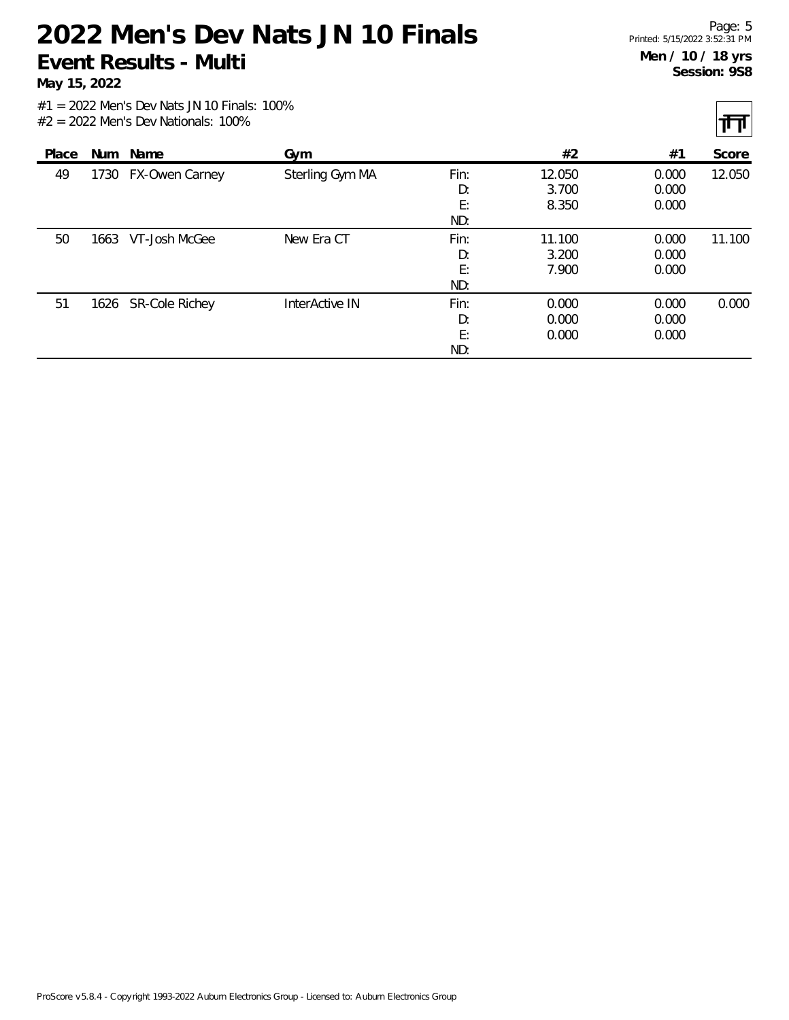**May 15, 2022**

 $|\mathbf{H}|$ 

|       |      |                     |                 |                         |                          |                         | . .    |
|-------|------|---------------------|-----------------|-------------------------|--------------------------|-------------------------|--------|
| Place |      | Num Name            | Gym             |                         | #2                       | #1                      | Score  |
| 49    | 1730 | FX-Owen Carney      | Sterling Gym MA | Fin:<br>D:<br>E:<br>ND: | 12.050<br>3.700<br>8.350 | 0.000<br>0.000<br>0.000 | 12.050 |
| 50    | 1663 | VT-Josh McGee       | New Era CT      | Fin:<br>D:<br>E:<br>ND: | 11.100<br>3.200<br>7.900 | 0.000<br>0.000<br>0.000 | 11.100 |
| 51    |      | 1626 SR-Cole Richey | InterActive IN  | Fin:<br>D:<br>E:<br>ND: | 0.000<br>0.000<br>0.000  | 0.000<br>0.000<br>0.000 | 0.000  |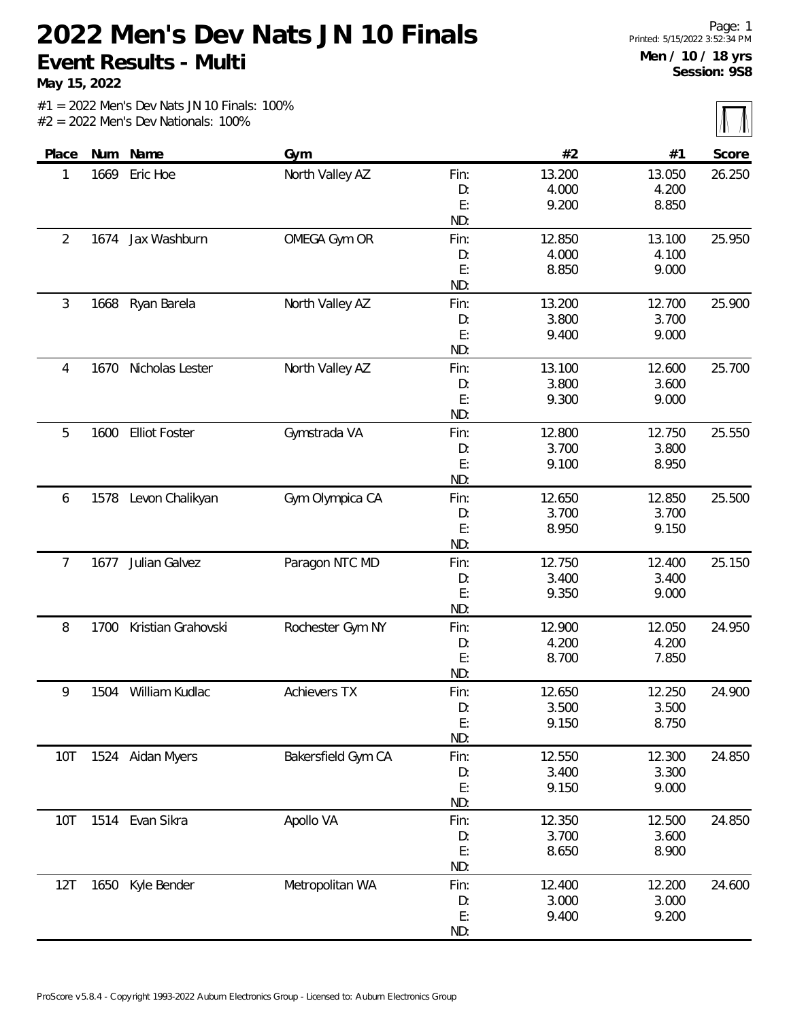**May 15, 2022**

|       |      |                      |                     |      |        |        | $\sim$ $\sim$ $\sim$ |
|-------|------|----------------------|---------------------|------|--------|--------|----------------------|
| Place |      | Num Name             | Gym                 |      | #2     | #1     | Score                |
| 1     | 1669 | Eric Hoe             | North Valley AZ     | Fin: | 13.200 | 13.050 | 26.250               |
|       |      |                      |                     | D:   | 4.000  | 4.200  |                      |
|       |      |                      |                     | E:   | 9.200  | 8.850  |                      |
|       |      |                      |                     | ND:  |        |        |                      |
| 2     |      | 1674 Jax Washburn    | OMEGA Gym OR        | Fin: | 12.850 | 13.100 | 25.950               |
|       |      |                      |                     | D:   | 4.000  | 4.100  |                      |
|       |      |                      |                     | E:   | 8.850  | 9.000  |                      |
|       |      |                      |                     | ND:  |        |        |                      |
| 3     | 1668 | Ryan Barela          | North Valley AZ     | Fin: | 13.200 | 12.700 | 25.900               |
|       |      |                      |                     | D:   | 3.800  | 3.700  |                      |
|       |      |                      |                     | E:   | 9.400  | 9.000  |                      |
|       |      |                      |                     | ND:  |        |        |                      |
| 4     | 1670 | Nicholas Lester      | North Valley AZ     | Fin: | 13.100 | 12.600 | 25.700               |
|       |      |                      |                     | D:   | 3.800  | 3.600  |                      |
|       |      |                      |                     | E:   | 9.300  | 9.000  |                      |
|       |      |                      |                     | ND:  |        |        |                      |
| 5     | 1600 | <b>Elliot Foster</b> | Gymstrada VA        | Fin: | 12.800 | 12.750 | 25.550               |
|       |      |                      |                     | D:   | 3.700  | 3.800  |                      |
|       |      |                      |                     | E:   | 9.100  | 8.950  |                      |
|       |      |                      |                     | ND:  |        |        |                      |
| 6     |      | 1578 Levon Chalikyan | Gym Olympica CA     | Fin: | 12.650 | 12.850 | 25.500               |
|       |      |                      |                     | D:   | 3.700  | 3.700  |                      |
|       |      |                      |                     | E:   | 8.950  | 9.150  |                      |
|       |      |                      |                     | ND:  |        |        |                      |
| 7     | 1677 | Julian Galvez        | Paragon NTC MD      | Fin: | 12.750 | 12.400 | 25.150               |
|       |      |                      |                     | D:   | 3.400  | 3.400  |                      |
|       |      |                      |                     | E:   | 9.350  | 9.000  |                      |
|       |      |                      |                     | ND:  |        |        |                      |
| 8     | 1700 | Kristian Grahovski   | Rochester Gym NY    | Fin: | 12.900 | 12.050 | 24.950               |
|       |      |                      |                     | D:   | 4.200  | 4.200  |                      |
|       |      |                      |                     | E:   | 8.700  | 7.850  |                      |
|       |      |                      |                     | ND:  |        |        |                      |
| 9     | 1504 | William Kudlac       | <b>Achievers TX</b> | Fin: | 12.650 | 12.250 | 24.900               |
|       |      |                      |                     | D:   | 3.500  | 3.500  |                      |
|       |      |                      |                     | E:   | 9.150  | 8.750  |                      |
|       |      |                      |                     | ND:  |        |        |                      |
| 10T   |      | 1524 Aidan Myers     | Bakersfield Gym CA  | Fin: | 12.550 | 12.300 | 24.850               |
|       |      |                      |                     | D:   | 3.400  | 3.300  |                      |
|       |      |                      |                     | E:   | 9.150  | 9.000  |                      |
|       |      |                      |                     | ND:  |        |        |                      |
| 10T   |      | 1514 Evan Sikra      | Apollo VA           | Fin: | 12.350 | 12.500 | 24.850               |
|       |      |                      |                     | D:   | 3.700  | 3.600  |                      |
|       |      |                      |                     | E:   | 8.650  | 8.900  |                      |
|       |      |                      |                     | ND:  |        |        |                      |
| 12T   | 1650 | Kyle Bender          | Metropolitan WA     | Fin: | 12.400 | 12.200 | 24.600               |
|       |      |                      |                     | D:   | 3.000  | 3.000  |                      |
|       |      |                      |                     | E:   | 9.400  | 9.200  |                      |
|       |      |                      |                     | ND:  |        |        |                      |
|       |      |                      |                     |      |        |        |                      |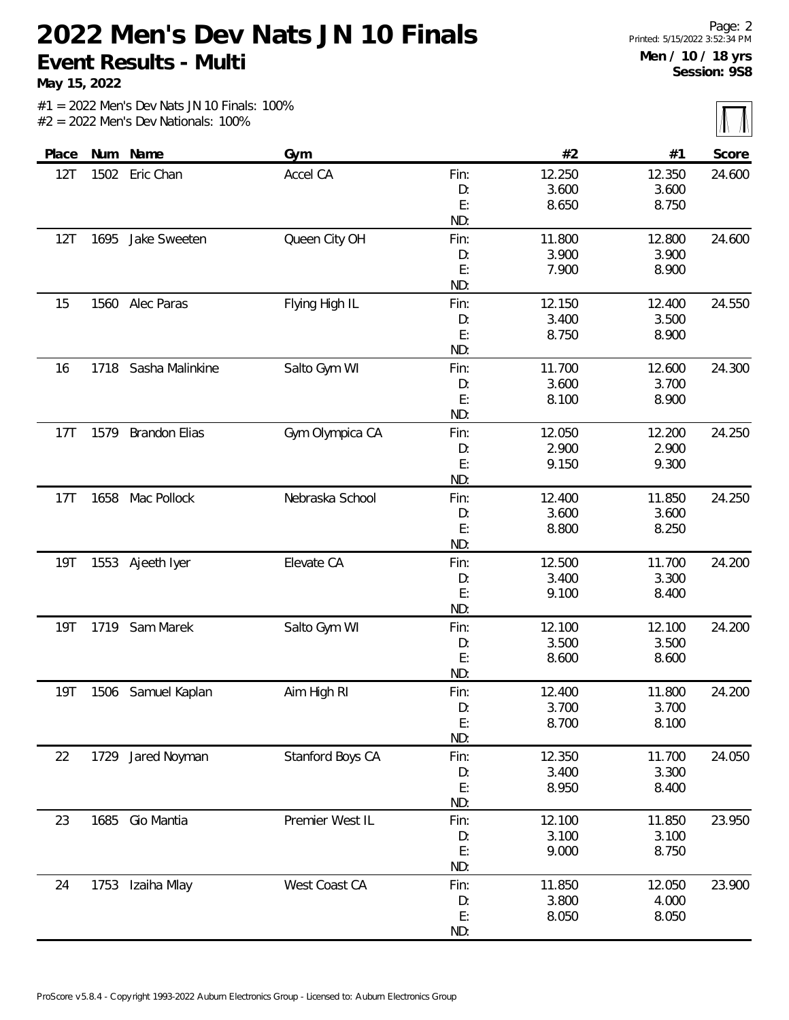**May 15, 2022**

 $\overline{\mathbb{M}}$ 

|            |      |                    |                  |      |        |        | $111 - 111$ |
|------------|------|--------------------|------------------|------|--------|--------|-------------|
| Place      |      | Num Name           | Gym              |      | #2     | #1     | Score       |
| 12T        |      | 1502 Eric Chan     | Accel CA         | Fin: | 12.250 | 12.350 | 24.600      |
|            |      |                    |                  | D:   | 3.600  | 3.600  |             |
|            |      |                    |                  | E:   | 8.650  | 8.750  |             |
|            |      |                    |                  | ND:  |        |        |             |
| 12T        | 1695 | Jake Sweeten       | Queen City OH    | Fin: | 11.800 | 12.800 | 24.600      |
|            |      |                    |                  | D:   | 3.900  | 3.900  |             |
|            |      |                    |                  | E:   | 7.900  | 8.900  |             |
|            |      |                    |                  | ND:  |        |        |             |
| 15         | 1560 | Alec Paras         | Flying High IL   | Fin: | 12.150 | 12.400 | 24.550      |
|            |      |                    |                  | D:   | 3.400  | 3.500  |             |
|            |      |                    |                  | E:   | 8.750  | 8.900  |             |
|            |      |                    |                  | ND:  |        |        |             |
| 16         | 1718 | Sasha Malinkine    | Salto Gym WI     | Fin: | 11.700 | 12.600 | 24.300      |
|            |      |                    |                  | D:   | 3.600  | 3.700  |             |
|            |      |                    |                  | E:   | 8.100  | 8.900  |             |
|            |      |                    |                  | ND:  |        |        |             |
| 17T        |      | 1579 Brandon Elias | Gym Olympica CA  | Fin: | 12.050 | 12.200 | 24.250      |
|            |      |                    |                  | D:   | 2.900  | 2.900  |             |
|            |      |                    |                  | E:   | 9.150  | 9.300  |             |
|            |      |                    |                  | ND:  |        |        |             |
| 17T        | 1658 | Mac Pollock        | Nebraska School  | Fin: | 12.400 | 11.850 | 24.250      |
|            |      |                    |                  | D:   | 3.600  | 3.600  |             |
|            |      |                    |                  | E:   | 8.800  | 8.250  |             |
|            |      |                    |                  | ND:  |        |        |             |
| 19T        |      | 1553 Ajeeth Iyer   | Elevate CA       | Fin: | 12.500 | 11.700 | 24.200      |
|            |      |                    |                  | D:   | 3.400  | 3.300  |             |
|            |      |                    |                  | E:   | 9.100  | 8.400  |             |
|            |      |                    |                  | ND:  |        |        |             |
| <b>19T</b> | 1719 | Sam Marek          | Salto Gym WI     | Fin: | 12.100 | 12.100 | 24.200      |
|            |      |                    |                  | D:   | 3.500  | 3.500  |             |
|            |      |                    |                  | E:   | 8.600  | 8.600  |             |
|            |      |                    |                  | ND:  |        |        |             |
| 19T        |      | 1506 Samuel Kaplan | Aim High RI      | Fin: | 12.400 | 11.800 | 24.200      |
|            |      |                    |                  | D:   | 3.700  | 3.700  |             |
|            |      |                    |                  | E:   | 8.700  | 8.100  |             |
|            |      |                    |                  | ND:  |        |        |             |
| 22         | 1729 | Jared Noyman       | Stanford Boys CA | Fin: | 12.350 | 11.700 | 24.050      |
|            |      |                    |                  | D:   | 3.400  | 3.300  |             |
|            |      |                    |                  | E:   | 8.950  | 8.400  |             |
|            |      |                    |                  | ND:  |        |        |             |
| 23         | 1685 | Gio Mantia         | Premier West IL  | Fin: | 12.100 | 11.850 | 23.950      |
|            |      |                    |                  | D:   | 3.100  | 3.100  |             |
|            |      |                    |                  | E:   | 9.000  | 8.750  |             |
|            |      |                    |                  | ND:  |        |        |             |
| 24         |      | 1753 Izaiha Mlay   | West Coast CA    | Fin: | 11.850 | 12.050 | 23.900      |
|            |      |                    |                  | D:   | 3.800  | 4.000  |             |
|            |      |                    |                  | E:   | 8.050  | 8.050  |             |
|            |      |                    |                  | ND:  |        |        |             |
|            |      |                    |                  |      |        |        |             |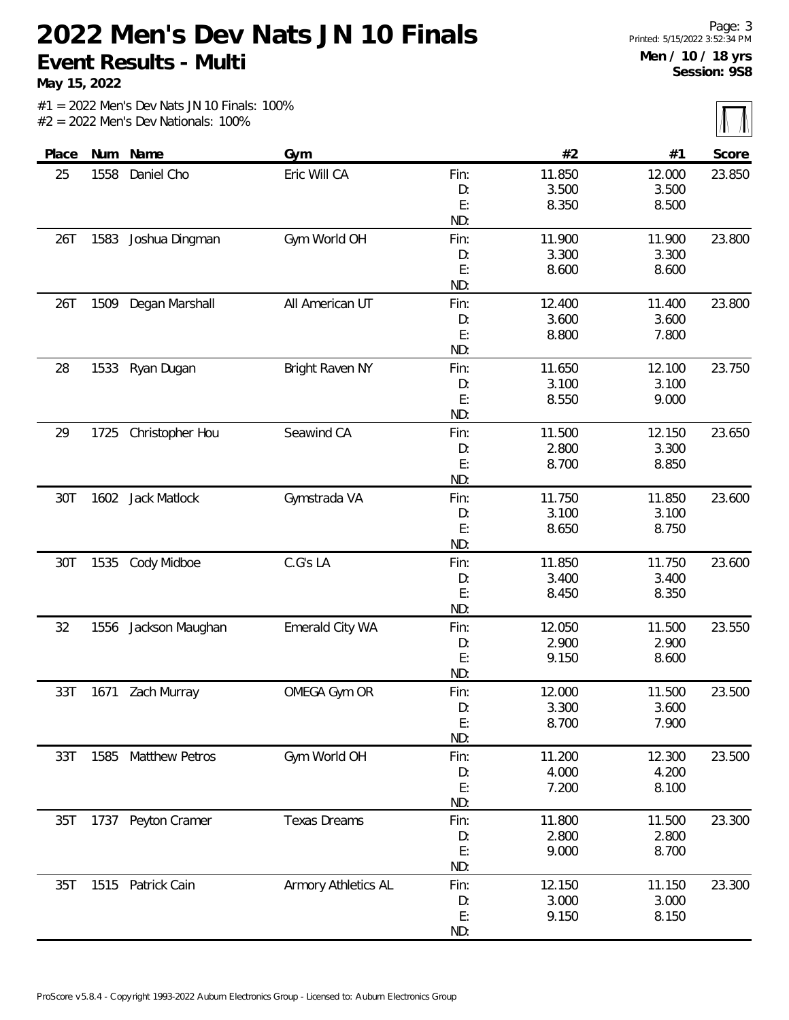**May 15, 2022**

 $\overline{\mathbb{M}}$ 

|       |      |                     |                     |      |        |        | $111 - 111$ |
|-------|------|---------------------|---------------------|------|--------|--------|-------------|
| Place |      | Num Name            | Gym                 |      | #2     | #1     | Score       |
| 25    | 1558 | Daniel Cho          | Eric Will CA        | Fin: | 11.850 | 12.000 | 23.850      |
|       |      |                     |                     | D:   | 3.500  | 3.500  |             |
|       |      |                     |                     | E:   | 8.350  | 8.500  |             |
|       |      |                     |                     | ND:  |        |        |             |
| 26T   | 1583 | Joshua Dingman      | Gym World OH        | Fin: | 11.900 | 11.900 | 23.800      |
|       |      |                     |                     | D:   | 3.300  | 3.300  |             |
|       |      |                     |                     | E:   | 8.600  | 8.600  |             |
|       |      |                     |                     | ND:  |        |        |             |
| 26T   | 1509 | Degan Marshall      | All American UT     | Fin: | 12.400 | 11.400 | 23.800      |
|       |      |                     |                     | D:   | 3.600  | 3.600  |             |
|       |      |                     |                     | E:   | 8.800  | 7.800  |             |
|       |      |                     |                     | ND:  |        |        |             |
| 28    |      | 1533 Ryan Dugan     | Bright Raven NY     | Fin: | 11.650 | 12.100 | 23.750      |
|       |      |                     |                     | D:   | 3.100  | 3.100  |             |
|       |      |                     |                     | E:   | 8.550  | 9.000  |             |
|       |      |                     |                     | ND:  |        |        |             |
| 29    | 1725 | Christopher Hou     | Seawind CA          | Fin: | 11.500 | 12.150 | 23.650      |
|       |      |                     |                     | D:   | 2.800  | 3.300  |             |
|       |      |                     |                     | E:   | 8.700  | 8.850  |             |
|       |      |                     |                     | ND:  |        |        |             |
| 30T   |      | 1602 Jack Matlock   | Gymstrada VA        | Fin: | 11.750 | 11.850 | 23.600      |
|       |      |                     |                     | D:   | 3.100  | 3.100  |             |
|       |      |                     |                     | E:   | 8.650  | 8.750  |             |
|       |      |                     |                     | ND:  |        |        |             |
| 30T   | 1535 | Cody Midboe         | C.G's LA            | Fin: | 11.850 | 11.750 | 23.600      |
|       |      |                     |                     | D:   | 3.400  | 3.400  |             |
|       |      |                     |                     | E:   | 8.450  | 8.350  |             |
|       |      |                     |                     | ND:  |        |        |             |
| 32    | 1556 | Jackson Maughan     | Emerald City WA     | Fin: | 12.050 | 11.500 | 23.550      |
|       |      |                     |                     | D:   | 2.900  | 2.900  |             |
|       |      |                     |                     | E:   | 9.150  | 8.600  |             |
|       |      |                     |                     | ND:  |        |        |             |
| 33T   | 1671 | Zach Murray         | OMEGA Gym OR        | Fin: | 12.000 | 11.500 | 23.500      |
|       |      |                     |                     | D:   | 3.300  | 3.600  |             |
|       |      |                     |                     | E:   | 8.700  | 7.900  |             |
|       |      |                     |                     | ND:  |        |        |             |
| 33T   |      | 1585 Matthew Petros | Gym World OH        | Fin: | 11.200 | 12.300 | 23.500      |
|       |      |                     |                     | D:   | 4.000  | 4.200  |             |
|       |      |                     |                     | E:   | 7.200  | 8.100  |             |
|       |      |                     |                     | ND:  |        |        |             |
| 35T   | 1737 | Peyton Cramer       | <b>Texas Dreams</b> | Fin: | 11.800 | 11.500 | 23.300      |
|       |      |                     |                     | D:   | 2.800  | 2.800  |             |
|       |      |                     |                     | E:   | 9.000  | 8.700  |             |
|       |      |                     |                     | ND:  |        |        |             |
| 35T   |      | 1515 Patrick Cain   | Armory Athletics AL | Fin: | 12.150 | 11.150 | 23.300      |
|       |      |                     |                     | D:   | 3.000  | 3.000  |             |
|       |      |                     |                     | E:   | 9.150  | 8.150  |             |
|       |      |                     |                     | ND:  |        |        |             |
|       |      |                     |                     |      |        |        |             |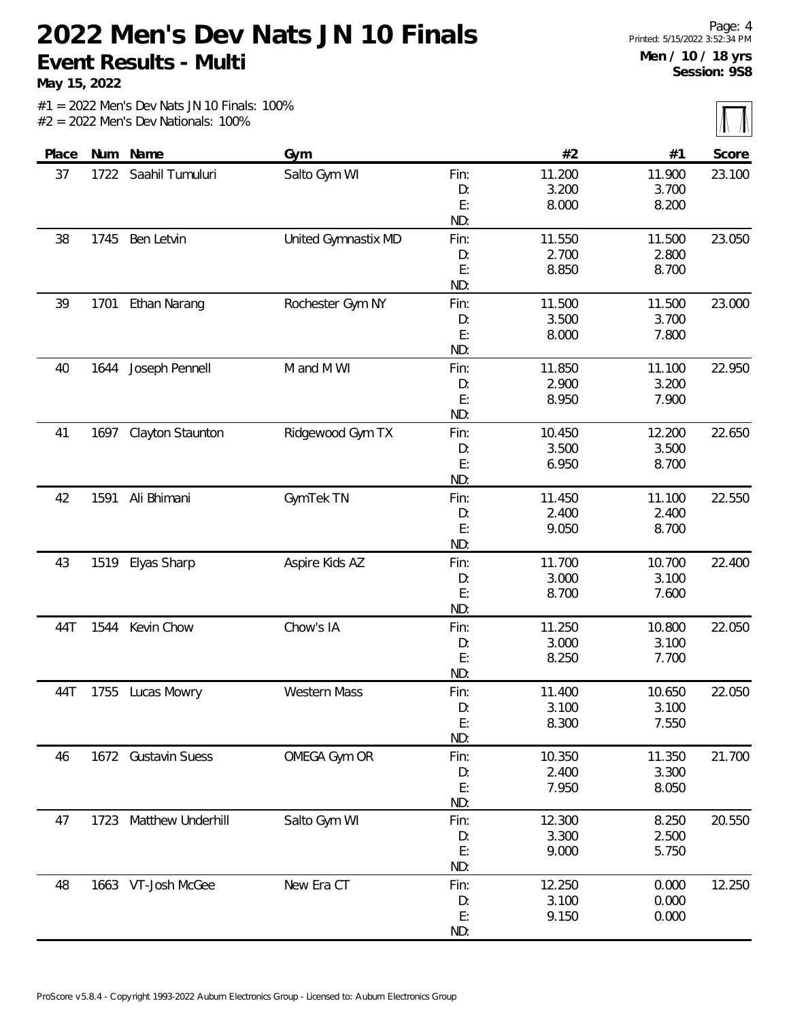**May 15, 2022**

 $\overline{\mathbb{M}}$ 

| (11.1) |        |        |      |                     |                         |      |       |
|--------|--------|--------|------|---------------------|-------------------------|------|-------|
| Score  | #1     | #2     |      | Gym                 | Num Name                |      | Place |
| 23.100 | 11.900 | 11.200 | Fin: | Salto Gym WI        | 1722 Saahil Tumuluri    |      | 37    |
|        | 3.700  | 3.200  | D:   |                     |                         |      |       |
|        | 8.200  | 8.000  | E:   |                     |                         |      |       |
|        |        |        | ND:  |                     |                         |      |       |
| 23.050 | 11.500 | 11.550 | Fin: | United Gymnastix MD | Ben Letvin              | 1745 | 38    |
|        | 2.800  | 2.700  | D:   |                     |                         |      |       |
|        | 8.700  | 8.850  | E:   |                     |                         |      |       |
|        |        |        | ND:  |                     |                         |      |       |
| 23.000 | 11.500 | 11.500 | Fin: | Rochester Gym NY    | Ethan Narang            | 1701 | 39    |
|        | 3.700  | 3.500  | D:   |                     |                         |      |       |
|        | 7.800  | 8.000  | E:   |                     |                         |      |       |
|        |        |        | ND:  |                     |                         |      |       |
| 22.950 | 11.100 | 11.850 | Fin: | M and M WI          | Joseph Pennell          | 1644 | 40    |
|        | 3.200  | 2.900  | D:   |                     |                         |      |       |
|        | 7.900  | 8.950  | E:   |                     |                         |      |       |
|        |        |        | ND:  |                     |                         |      |       |
| 22.650 | 12.200 | 10.450 | Fin: | Ridgewood Gym TX    | <b>Clayton Staunton</b> | 1697 | 41    |
|        | 3.500  | 3.500  | D:   |                     |                         |      |       |
|        | 8.700  | 6.950  | E:   |                     |                         |      |       |
|        |        |        | ND:  |                     |                         |      |       |
| 22.550 | 11.100 | 11.450 | Fin: | GymTek TN           | Ali Bhimani             | 1591 | 42    |
|        | 2.400  | 2.400  | D:   |                     |                         |      |       |
|        | 8.700  | 9.050  | E:   |                     |                         |      |       |
|        |        |        | ND:  |                     |                         |      |       |
| 22.400 | 10.700 | 11.700 | Fin: | Aspire Kids AZ      | Elyas Sharp             | 1519 | 43    |
|        | 3.100  | 3.000  | D:   |                     |                         |      |       |
|        | 7.600  | 8.700  | E:   |                     |                         |      |       |
|        |        |        | ND:  |                     |                         |      |       |
| 22.050 | 10.800 | 11.250 | Fin: | Chow's IA           | Kevin Chow              | 1544 | 44T   |
|        | 3.100  | 3.000  | D:   |                     |                         |      |       |
|        | 7.700  | 8.250  | E:   |                     |                         |      |       |
|        |        |        | ND:  |                     |                         |      |       |
| 22.050 | 10.650 | 11.400 | Fin: | <b>Western Mass</b> | Lucas Mowry             | 1755 | 44T   |
|        | 3.100  | 3.100  | D:   |                     |                         |      |       |
|        | 7.550  | 8.300  | E:   |                     |                         |      |       |
|        |        |        | ND:  |                     |                         |      |       |
| 21.700 | 11.350 | 10.350 | Fin: | OMEGA Gym OR        | 1672 Gustavin Suess     |      | 46    |
|        | 3.300  | 2.400  | D:   |                     |                         |      |       |
|        | 8.050  | 7.950  | E:   |                     |                         |      |       |
|        |        |        | ND:  |                     |                         |      |       |
| 20.550 | 8.250  | 12.300 | Fin: | Salto Gym WI        | Matthew Underhill       | 1723 | 47    |
|        | 2.500  | 3.300  | D:   |                     |                         |      |       |
|        | 5.750  | 9.000  | E:   |                     |                         |      |       |
|        |        |        | ND:  |                     |                         |      |       |
| 12.250 | 0.000  | 12.250 | Fin: | New Era CT          | 1663 VT-Josh McGee      |      | 48    |
|        | 0.000  | 3.100  | D:   |                     |                         |      |       |
|        | 0.000  | 9.150  | E:   |                     |                         |      |       |
|        |        |        | ND:  |                     |                         |      |       |